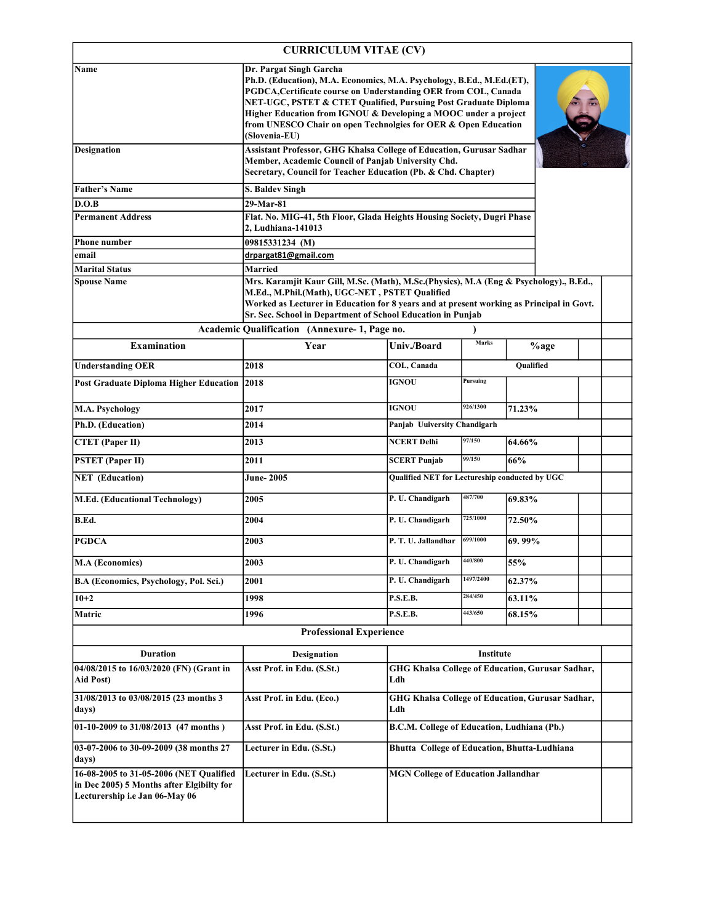| <b>CURRICULUM VITAE (CV)</b> |  |
|------------------------------|--|
|                              |  |

|                                                                                                                        | <b>CURRICULUM VITAE (CV)</b>                                                                                                                                                                                                                                                                                                                                                                 |                                                |           |                                                  |  |
|------------------------------------------------------------------------------------------------------------------------|----------------------------------------------------------------------------------------------------------------------------------------------------------------------------------------------------------------------------------------------------------------------------------------------------------------------------------------------------------------------------------------------|------------------------------------------------|-----------|--------------------------------------------------|--|
| Name                                                                                                                   | Dr. Pargat Singh Garcha<br>Ph.D. (Education), M.A. Economics, M.A. Psychology, B.Ed., M.Ed.(ET),<br>PGDCA, Certificate course on Understanding OER from COL, Canada<br>NET-UGC, PSTET & CTET Qualified, Pursuing Post Graduate Diploma<br>Higher Education from IGNOU & Developing a MOOC under a project<br>from UNESCO Chair on open Technolgies for OER & Open Education<br>(Slovenia-EU) |                                                |           |                                                  |  |
| <b>Designation</b>                                                                                                     | Assistant Professor, GHG Khalsa College of Education, Gurusar Sadhar<br>Member, Academic Council of Panjab University Chd.<br>Secretary, Council for Teacher Education (Pb. & Chd. Chapter)                                                                                                                                                                                                  |                                                |           |                                                  |  |
| <b>Father's Name</b>                                                                                                   | <b>S. Baldev Singh</b>                                                                                                                                                                                                                                                                                                                                                                       |                                                |           |                                                  |  |
| D.O.B                                                                                                                  | 29-Mar-81                                                                                                                                                                                                                                                                                                                                                                                    |                                                |           |                                                  |  |
| <b>Permanent Address</b>                                                                                               | Flat. No. MIG-41, 5th Floor, Glada Heights Housing Society, Dugri Phase<br>2, Ludhiana-141013                                                                                                                                                                                                                                                                                                |                                                |           |                                                  |  |
| <b>Phone number</b>                                                                                                    | 09815331234 (M)                                                                                                                                                                                                                                                                                                                                                                              |                                                |           |                                                  |  |
| email<br><b>Marital Status</b>                                                                                         | drpargat81@gmail.com<br>Married                                                                                                                                                                                                                                                                                                                                                              |                                                |           |                                                  |  |
| <b>Spouse Name</b>                                                                                                     | Mrs. Karamjit Kaur Gill, M.Sc. (Math), M.Sc. (Physics), M.A (Eng & Psychology)., B.Ed.,<br>M.Ed., M.Phil.(Math), UGC-NET, PSTET Qualified<br>Worked as Lecturer in Education for 8 years and at present working as Principal in Govt.<br>Sr. Sec. School in Department of School Education in Punjab                                                                                         |                                                |           |                                                  |  |
|                                                                                                                        | Academic Qualification (Annexure-1, Page no.                                                                                                                                                                                                                                                                                                                                                 |                                                | Marks     |                                                  |  |
| <b>Examination</b>                                                                                                     | Year                                                                                                                                                                                                                                                                                                                                                                                         | Univ./Board                                    |           | %age                                             |  |
| <b>Understanding OER</b>                                                                                               | 2018                                                                                                                                                                                                                                                                                                                                                                                         | COL, Canada                                    |           | <b>Oualified</b>                                 |  |
| <b>Post Graduate Diploma Higher Education</b>                                                                          | 2018                                                                                                                                                                                                                                                                                                                                                                                         | <b>IGNOU</b>                                   | Pursuing  |                                                  |  |
| M.A. Psychology                                                                                                        | 2017                                                                                                                                                                                                                                                                                                                                                                                         | <b>IGNOU</b>                                   | 926/1300  | 71.23%                                           |  |
| Ph.D. (Education)                                                                                                      | 2014                                                                                                                                                                                                                                                                                                                                                                                         | Panjab Uuiversity Chandigarh                   |           |                                                  |  |
| <b>CTET</b> (Paper II)                                                                                                 | 2013                                                                                                                                                                                                                                                                                                                                                                                         | <b>NCERT Delhi</b>                             | 97/150    | 64.66%                                           |  |
| <b>PSTET</b> (Paper II)                                                                                                | 2011                                                                                                                                                                                                                                                                                                                                                                                         | <b>SCERT Punjab</b>                            | 99/150    | 66%                                              |  |
| <b>NET</b> (Education)                                                                                                 | June- 2005                                                                                                                                                                                                                                                                                                                                                                                   | Qualified NET for Lectureship conducted by UGC |           |                                                  |  |
| <b>M.Ed.</b> (Educational Technology)                                                                                  | 2005                                                                                                                                                                                                                                                                                                                                                                                         | P. U. Chandigarh                               | 487/700   | 69.83%                                           |  |
| B.Ed.                                                                                                                  | 2004                                                                                                                                                                                                                                                                                                                                                                                         | P. U. Chandigarh                               | 725/1000  | 72.50%                                           |  |
| <b>PGDCA</b>                                                                                                           | 2003                                                                                                                                                                                                                                                                                                                                                                                         | P. T. U. Jallandhar                            | 699/1000  | 69.99%                                           |  |
| M.A (Economics)                                                                                                        | 2003                                                                                                                                                                                                                                                                                                                                                                                         | P. U. Chandigarh                               | 440/800   | 55%                                              |  |
| B.A (Economics, Psychology, Pol. Sci.)                                                                                 | 2001                                                                                                                                                                                                                                                                                                                                                                                         | P. U. Chandigarh                               | 1497/2400 | 62.37%                                           |  |
| $10 + 2$                                                                                                               | 1998                                                                                                                                                                                                                                                                                                                                                                                         | <b>P.S.E.B.</b>                                | 284/450   | 63.11%                                           |  |
| Matric                                                                                                                 | 1996                                                                                                                                                                                                                                                                                                                                                                                         | <b>P.S.E.B.</b>                                | 443/650   | 68.15%                                           |  |
|                                                                                                                        | <b>Professional Experience</b>                                                                                                                                                                                                                                                                                                                                                               |                                                |           |                                                  |  |
| <b>Duration</b>                                                                                                        | <b>Designation</b>                                                                                                                                                                                                                                                                                                                                                                           |                                                | Institute |                                                  |  |
| 04/08/2015 to 16/03/2020 (FN) (Grant in<br>Aid Post)                                                                   | Asst Prof. in Edu. (S.St.)                                                                                                                                                                                                                                                                                                                                                                   | Ldh                                            |           | GHG Khalsa College of Education, Gurusar Sadhar, |  |
| 31/08/2013 to 03/08/2015 (23 months 3<br>days)                                                                         | Asst Prof. in Edu. (Eco.)                                                                                                                                                                                                                                                                                                                                                                    | Ldh                                            |           | GHG Khalsa College of Education, Gurusar Sadhar, |  |
| $\overline{01-10-2009}$ to 31/08/2013 (47 months)                                                                      | Asst Prof. in Edu. (S.St.)                                                                                                                                                                                                                                                                                                                                                                   | B.C.M. College of Education, Ludhiana (Pb.)    |           |                                                  |  |
| 03-07-2006 to 30-09-2009 (38 months 27<br>days)                                                                        | Lecturer in Edu. (S.St.)                                                                                                                                                                                                                                                                                                                                                                     |                                                |           | Bhutta College of Education, Bhutta-Ludhiana     |  |
| 16-08-2005 to 31-05-2006 (NET Qualified<br>in Dec 2005) 5 Months after Elgibilty for<br>Lecturership i.e Jan 06-May 06 | Lecturer in Edu. (S.St.)                                                                                                                                                                                                                                                                                                                                                                     | <b>MGN College of Education Jallandhar</b>     |           |                                                  |  |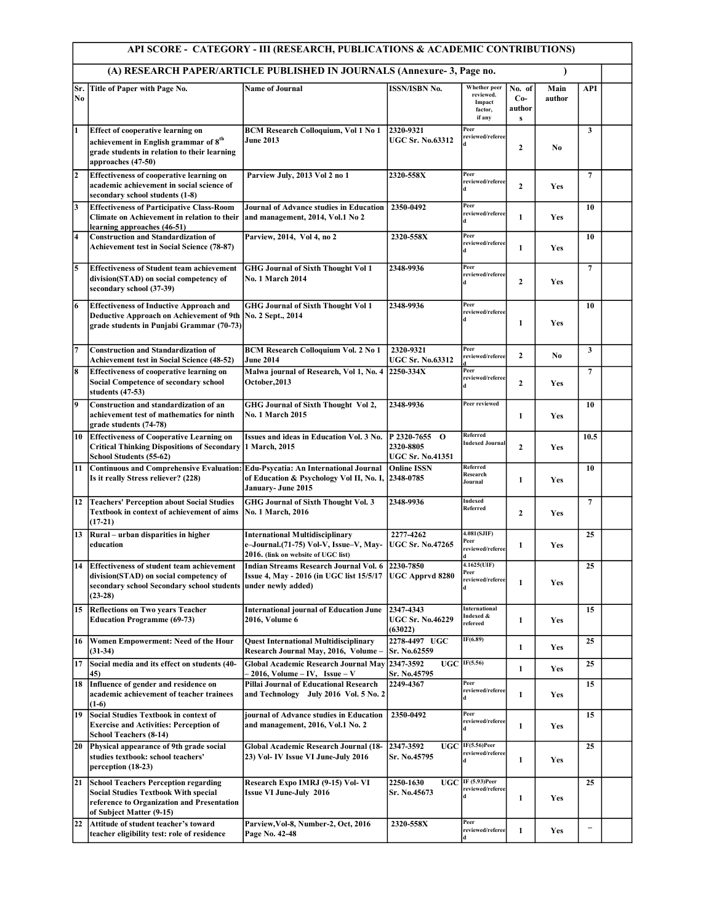|                | API SCORE - CATEGORY - III (RESEARCH, PUBLICATIONS & ACADEMIC CONTRIBUTIONS)                                                                                         |                                                                                                                                      |                                                       |                                                                 |                                           |                |                          |  |  |
|----------------|----------------------------------------------------------------------------------------------------------------------------------------------------------------------|--------------------------------------------------------------------------------------------------------------------------------------|-------------------------------------------------------|-----------------------------------------------------------------|-------------------------------------------|----------------|--------------------------|--|--|
|                |                                                                                                                                                                      | (A) RESEARCH PAPER/ARTICLE PUBLISHED IN JOURNALS (Annexure- 3, Page no.                                                              |                                                       |                                                                 |                                           |                |                          |  |  |
| Sr.<br>No      | Title of Paper with Page No.                                                                                                                                         | <b>Name of Journal</b>                                                                                                               | <b>ISSN/ISBN No.</b>                                  | <b>Whether</b> peer<br>reviewed.<br>Impact<br>factor,<br>if any | No. of<br>$Co-$<br>author<br>$\mathbf{s}$ | Main<br>author | <b>API</b>               |  |  |
| 1              | <b>Effect of cooperative learning on</b><br>achievement in English grammar of $8^{th}$<br>grade students in relation to their learning<br>approaches (47-50)         | <b>BCM Research Colloquium, Vol 1 No 1</b><br><b>June 2013</b>                                                                       | 2320-9321<br><b>UGC Sr. No.63312</b>                  | Peer<br>reviewed/referee                                        | $\mathbf{2}$                              | N <sub>0</sub> | $\mathbf{3}$             |  |  |
| $\overline{2}$ | <b>Effectiveness of cooperative learning on</b><br>academic achievement in social science of<br>secondary school students (1-8)                                      | Parview July, 2013 Vol 2 no 1                                                                                                        | 2320-558X                                             | Peer<br>reviewed/referee                                        | $\mathbf{2}$                              | Yes            | $\overline{7}$           |  |  |
| 3              | <b>Effectiveness of Participative Class-Room</b><br>Climate on Achievement in relation to their<br>learning approaches (46-51)                                       | <b>Journal of Advance studies in Education</b><br>and management, 2014, Vol.1 No 2                                                   | 2350-0492                                             | Peer<br>reviewed/referee<br>Иd                                  | $\mathbf{1}$                              | Yes            | 10                       |  |  |
| 4              | <b>Construction and Standardization of</b><br><b>Achievement test in Social Science (78-87)</b>                                                                      | Parview, 2014, Vol 4, no 2                                                                                                           | 2320-558X                                             | Peer<br>reviewed/referee<br>đ                                   | $\mathbf{1}$                              | <b>Yes</b>     | 10                       |  |  |
| 5              | <b>Effectiveness of Student team achievement</b><br>division(STAD) on social competency of<br>secondary school (37-39)                                               | <b>GHG Journal of Sixth Thought Vol 1</b><br><b>No. 1 March 2014</b>                                                                 | 2348-9936                                             | Peer<br>reviewed/referee<br>đ                                   | $\mathbf{2}$                              | Yes            | $\overline{7}$           |  |  |
| 6              | <b>Effectiveness of Inductive Approach and</b><br><b>Deductive Approach on Achievement of 9th</b><br>grade students in Punjabi Grammar (70-73)                       | <b>GHG Journal of Sixth Thought Vol 1</b><br>No. 2 Sept., 2014                                                                       | 2348-9936                                             | Peer<br>reviewed/referee<br>d                                   | 1                                         | Yes            | 10                       |  |  |
| 7              | <b>Construction and Standardization of</b><br><b>Achievement test in Social Science (48-52)</b>                                                                      | <b>BCM Research Colloquium Vol. 2 No 1</b><br><b>June 2014</b>                                                                       | 2320-9321<br><b>UGC Sr. No.63312</b>                  | Peer<br>reviewed/referee                                        | $\overline{2}$                            | No.            | $\mathbf{3}$             |  |  |
| 8              | <b>Effectiveness of cooperative learning on</b><br><b>Social Competence of secondary school</b><br>students (47-53)                                                  | Malwa journal of Research, Vol 1, No. 4 2250-334X<br>October, 2013                                                                   |                                                       | Peer<br>reviewed/referee<br>d                                   | $\overline{2}$                            | Yes            | $\overline{7}$           |  |  |
| 9              | Construction and standardization of an<br>achievement test of mathematics for ninth<br>grade students (74-78)                                                        | GHG Journal of Sixth Thought Vol 2,<br><b>No. 1 March 2015</b>                                                                       | 2348-9936                                             | Peer reviewed                                                   | 1                                         | Yes            | 10                       |  |  |
| 10             | <b>Effectiveness of Cooperative Learning on</b><br><b>Critical Thinking Dispositions of Secondary</b><br>School Students (55-62)                                     | Issues and ideas in Education Vol. 3 No.<br>1 March, 2015                                                                            | P 2320-7655 O<br>2320-8805<br><b>UGC Sr. No.41351</b> | Referred<br><b>Indexed Journal</b>                              | $\overline{2}$                            | <b>Yes</b>     | 10.5                     |  |  |
| 11             | <b>Continuous and Comprehensive Evaluation:</b><br>Is it really Stress reliever? (228)                                                                               | <b>Edu-Psycatia: An International Journal</b><br>of Education & Psychology Vol II, No. I,<br>January- June 2015                      | <b>Online ISSN</b><br>2348-0785                       | Referred<br>Research<br>Journal                                 | 1                                         | Yes            | 10                       |  |  |
| 12             | <b>Teachers' Perception about Social Studies</b><br>Textbook in context of achievement of aims<br>$(17-21)$                                                          | GHG Journal of Sixth Thought Vol. 3<br>No. 1 March, 2016                                                                             | 2348-9936                                             | Indexed<br>Referred                                             | $\overline{2}$                            | Yes            | $\overline{7}$           |  |  |
| 13             | Rural - urban disparities in higher<br>education                                                                                                                     | <b>International Multidisciplinary</b><br>e-Journal.(71-75) Vol-V, Issue-V, May-<br>2016. (link on website of UGC list)              | 2277-4262<br><b>UGC Sr. No.47265</b>                  | 4.081(SJIF)<br>Peer<br>reviewed/referee                         | 1                                         | Yes            | 25                       |  |  |
|                | 14 Effectiveness of student team achievement<br>division(STAD) on social competency of<br>secondary school Secondary school students<br>$(23-28)$                    | Indian Streams Research Journal Vol. 6 2230-7850<br>Issue 4, May - 2016 (in UGC list 15/5/17   UGC Apprvd 8280<br>under newly added) |                                                       | 4.1625(UIF)<br>Peer<br>reviewed/referee                         | 1                                         | Yes            | 25                       |  |  |
| 15             | <b>Reflections on Two years Teacher</b><br><b>Education Programme (69-73)</b>                                                                                        | <b>International journal of Education June</b><br>2016, Volume 6                                                                     | 2347-4343<br><b>UGC Sr. No.46229</b><br>(63022)       | International<br>Indexed &<br>refereed                          | 1                                         | Yes            | 15                       |  |  |
| 16             | Women Empowerment: Need of the Hour<br>$(31-34)$                                                                                                                     | <b>Quest International Multidisciplinary</b><br>Research Journal May, 2016, Volume -                                                 | 2278-4497 UGC<br>Sr. No.62559                         | IF(6.89)                                                        | 1                                         | Yes            | 25                       |  |  |
| 17             | Social media and its effect on students (40-<br>45)                                                                                                                  | Global Academic Research Journal May 2347-3592<br>– 2016, Volume – IV, Issue – V                                                     | Sr. No.45795                                          | $UGC$ IF(5.56)                                                  | 1                                         | Yes            | 25                       |  |  |
| 18             | Influence of gender and residence on<br>academic achievement of teacher trainees<br>$(1-6)$                                                                          | Pillai Journal of Educational Research<br>and Technology July 2016 Vol. 5 No. 2                                                      | 2249-4367                                             | Peer<br>reviewed/referee                                        | 1                                         | Yes            | 15                       |  |  |
| 19             | Social Studies Textbook in context of<br><b>Exercise and Activities: Perception of</b><br><b>School Teachers (8-14)</b>                                              | journal of Advance studies in Education<br>and management, 2016, Vol.1 No. 2                                                         | 2350-0492                                             | Peer<br>reviewed/referee<br>đ                                   | 1                                         | Yes            | 15                       |  |  |
| 20             | Physical appearance of 9th grade social<br>studies textbook: school teachers'<br>perception (18-23)                                                                  | Global Academic Research Journal (18-<br>23) Vol- IV Issue VI June-July 2016                                                         | <b>UGC</b><br>2347-3592<br>Sr. No.45795               | $IF(5.56)$ Peer<br>reviewed/referee                             | 1                                         | Yes            | 25                       |  |  |
| 21             | <b>School Teachers Perception regarding</b><br><b>Social Studies Textbook With special</b><br>reference to Organization and Presentation<br>of Subject Matter (9-15) | Research Expo IMRJ (9-15) Vol-VI<br><b>Issue VI June-July 2016</b>                                                                   | 2250-1630<br>Sr. No.45673                             | $UGC$ IF (5.93)Peer<br>reviewed/referee                         | 1                                         | Yes            | 25                       |  |  |
| 22             | Attitude of student teacher's toward<br>teacher eligibility test: role of residence                                                                                  | Parview, Vol-8, Number-2, Oct, 2016<br>Page No. 42-48                                                                                | 2320-558X                                             | Peer<br>reviewed/referee                                        | $\mathbf{1}$                              | Yes            | $\overline{\phantom{0}}$ |  |  |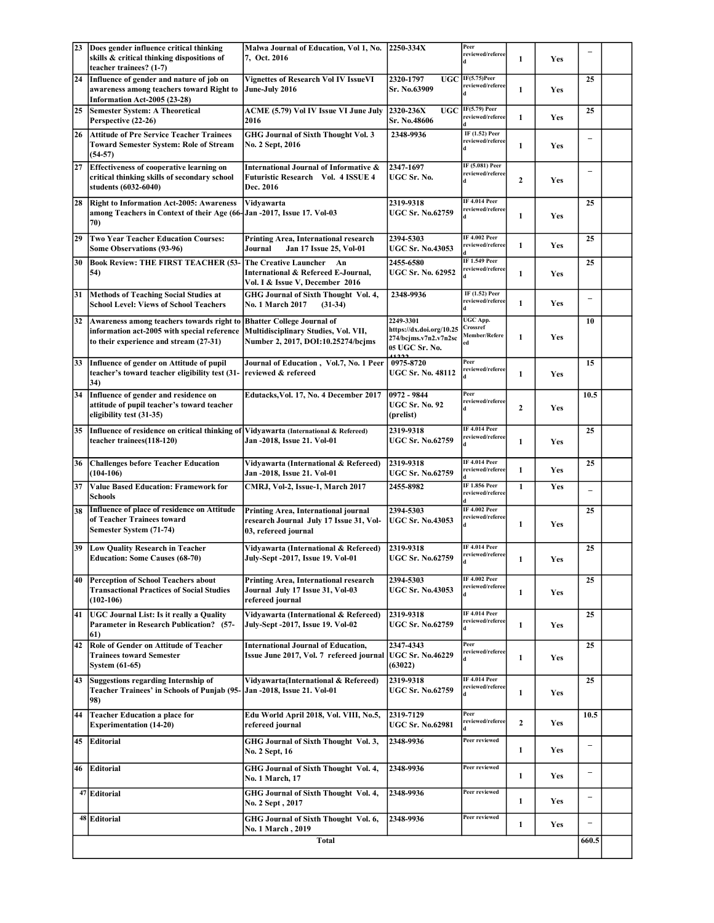| 23 | Does gender influence critical thinking                                                                                            | Malwa Journal of Education, Vol 1, No. 2250-334X                                                                |                                                                                          | Peer                                          |                  |     |                          |  |
|----|------------------------------------------------------------------------------------------------------------------------------------|-----------------------------------------------------------------------------------------------------------------|------------------------------------------------------------------------------------------|-----------------------------------------------|------------------|-----|--------------------------|--|
|    | skills & critical thinking dispositions of<br>teacher trainees? (1-7)                                                              | 7, Oct. 2016                                                                                                    |                                                                                          | reviewed/referee                              | $\mathbf{1}$     | Yes |                          |  |
| 24 | Influence of gender and nature of job on<br>awareness among teachers toward Right to<br>Information Act-2005 (23-28)               | <b>Vignettes of Research Vol IV IssueVI</b><br>June-July 2016                                                   | <b>UGC</b><br>2320-1797<br>Sr. No.63909                                                  | $IF(5.75)$ Peer<br>reviewed/referee           | 1                | Yes | 25                       |  |
| 25 | <b>Semester System: A Theoretical</b><br>Perspective (22-26)                                                                       | ACME (5.79) Vol IV Issue VI June July<br>2016                                                                   | 2320-236X<br><b>UGC</b><br>Sr. No.48606                                                  | IF(5.79) Peer<br>reviewed/referee             | 1                | Yes | 25                       |  |
| 26 | <b>Attitude of Pre Service Teacher Trainees</b><br><b>Toward Semester System: Role of Stream</b><br>$(54-57)$                      | GHG Journal of Sixth Thought Vol. 3<br>No. 2 Sept, 2016                                                         | 2348-9936                                                                                | IF (1.52) Peer<br>reviewed/referee            | 1                | Yes |                          |  |
| 27 | <b>Effectiveness of cooperative learning on</b><br>critical thinking skills of secondary school<br>students (6032-6040)            | International Journal of Informative &<br>Futuristic Research Vol. 4 ISSUE 4<br>Dec. 2016                       | 2347-1697<br>UGC Sr. No.                                                                 | IF (5.081) Peer<br>reviewed/referee<br>d      | $\boldsymbol{2}$ | Yes | $\overline{\phantom{0}}$ |  |
| 28 | <b>Right to Information Act-2005: Awareness</b><br>among Teachers in Context of their Age (66-JJan -2017, Issue 17. Vol-03<br>70)  | Vidyawarta                                                                                                      | 2319-9318<br><b>UGC Sr. No.62759</b>                                                     | <b>IF 4.014 Peer</b><br>reviewed/referee      | 1                | Yes | 25                       |  |
| 29 | <b>Two Year Teacher Education Courses:</b><br><b>Some Observations (93-96)</b>                                                     | Printing Area, International research<br>Jan 17 Issue 25, Vol-01<br>Journal                                     | 2394-5303<br><b>UGC Sr. No.43053</b>                                                     | <b>IF 4.002 Peer</b><br>reviewed/referee      | 1                | Yes | 25                       |  |
| 30 | <b>Book Review: THE FIRST TEACHER (53-</b><br>54)                                                                                  | <b>The Creative Launcher</b><br>An<br>International & Refereed E-Journal,<br>Vol. I & Issue V, December 2016    | 2455-6580<br><b>UGC Sr. No. 62952</b>                                                    | <b>IF 1.549 Peer</b><br>reviewed/referee      | $\mathbf{1}$     | Yes | 25                       |  |
| 31 | Methods of Teaching Social Studies at<br><b>School Level: Views of School Teachers</b>                                             | GHG Journal of Sixth Thought Vol. 4,<br><b>No. 1 March 2017</b><br>$(31-34)$                                    | 2348-9936                                                                                | IF (1.52) Peer<br>reviewed/referee            | $\mathbf{1}$     | Yes |                          |  |
| 32 | Awareness among teachers towards right to<br>information act-2005 with special reference<br>to their experience and stream (27-31) | <b>Bhatter College Journal of</b><br>Multidisciplinary Studies, Vol. VII,<br>Number 2, 2017, DOI:10.25274/bcjms | 2249-3301<br>https://dx.doi.org/10.25<br>274/bcjms.v7n2.v7n2sc<br>05 UGC Sr. No.<br>1222 | UGC App.<br>Crossref<br>Member/Refere<br>ed   | $\mathbf{1}$     | Yes | 10                       |  |
| 33 | Influence of gender on Attitude of pupil<br>teacher's toward teacher eligibility test (31-<br>34)                                  | Journal of Education, Vol.7, No. 1 Peer<br>reviewed & refereed                                                  | 0975-8720<br><b>UGC Sr. No. 48112</b>                                                    | Peer<br>reviewed/referee<br>d                 | 1                | Yes | 15                       |  |
| 34 | Influence of gender and residence on<br>attitude of pupil teacher's toward teacher<br>eligibility test (31-35)                     | Edutacks, Vol. 17, No. 4 December 2017                                                                          | 0972 - 9844<br><b>UGC Sr. No. 92</b><br>(prelist)                                        | Peer<br>reviewed/referee<br>d                 | $\boldsymbol{2}$ | Yes | 10.5                     |  |
| 35 | Influence of residence on critical thinking of<br>teacher trainees(118-120)                                                        | Vidyawarta (International & Refereed)<br>Jan -2018, Issue 21. Vol-01                                            | 2319-9318<br><b>UGC Sr. No.62759</b>                                                     | <b>IF 4.014 Peer</b><br>reviewed/referee      | $\mathbf{1}$     | Yes | 25                       |  |
| 36 | <b>Challenges before Teacher Education</b><br>$(104-106)$                                                                          | Vidyawarta (International & Refereed)<br>Jan -2018, Issue 21. Vol-01                                            | 2319-9318<br><b>UGC Sr. No.62759</b>                                                     | <b>IF 4.014 Peer</b><br>reviewed/referee      | 1                | Yes | 25                       |  |
| 37 | <b>Value Based Education: Framework for</b><br><b>Schools</b>                                                                      | CMRJ, Vol-2, Issue-1, March 2017                                                                                | 2455-8982                                                                                | <b>IF 1.856 Peer</b><br>reviewed/referee      | $\mathbf{1}$     | Yes | $\equiv$                 |  |
| 38 | Influence of place of residence on Attitude<br>of Teacher Trainees toward<br>Semester System (71-74)                               | Printing Area, International journal<br>research Journal July 17 Issue 31, Vol-<br>03, refereed journal         | 2394-5303<br><b>UGC Sr. No.43053</b>                                                     | <b>IF 4.002 Peer</b><br>reviewed/referee      | 1                | Yes | 25                       |  |
| 39 | <b>Low Quality Research in Teacher</b><br><b>Education: Some Causes (68-70)</b>                                                    | Vidyawarta (International & Refereed)<br>July-Sept -2017, Issue 19. Vol-01                                      | 2319-9318<br><b>UGC Sr. No.62759</b>                                                     | IF 4.014 Peer<br>reviewed/referee             | 1                | Yes | 25                       |  |
|    | 40 Perception of School Teachers about<br><b>Transactional Practices of Social Studies</b><br>$(102-106)$                          | Printing Area, International research<br>Journal July 17 Issue 31, Vol-03<br>refereed journal                   | 2394-5303<br><b>UGC Sr. No.43053</b>                                                     | <b>IF 4.002 Peer</b><br>reviewed/referee<br>d | $\mathbf{1}$     | Yes | 25                       |  |
| 41 | UGC Journal List: Is it really a Quality<br><b>Parameter in Research Publication?</b> (57-<br>61)                                  | Vidyawarta (International & Refereed)<br>July-Sept -2017, Issue 19. Vol-02                                      | 2319-9318<br><b>UGC Sr. No.62759</b>                                                     | <b>IF 4.014 Peer</b><br>reviewed/referee      | 1                | Yes | 25                       |  |
| 42 | Role of Gender on Attitude of Teacher<br><b>Trainees toward Semester</b><br><b>System (61-65)</b>                                  | <b>International Journal of Education,</b><br>Issue June 2017, Vol. 7 refereed journal                          | 2347-4343<br><b>UGC Sr. No.46229</b><br>(63022)                                          | Peer<br>reviewed/referee                      | 1                | Yes | 25                       |  |
| 43 | Suggestions regarding Internship of<br><b>Teacher Trainees' in Schools of Punjab (95-</b><br>98)                                   | Vidyawarta(International & Refereed)<br>Jan -2018, Issue 21. Vol-01                                             | 2319-9318<br><b>UGC Sr. No.62759</b>                                                     | <b>IF 4.014 Peer</b><br>reviewed/referee      | 1                | Yes | 25                       |  |
| 44 | <b>Teacher Education a place for</b><br><b>Experimentation (14-20)</b>                                                             | Edu World April 2018, Vol. VIII, No.5,<br>refereed journal                                                      | 2319-7129<br><b>UGC Sr. No.62981</b>                                                     | Peer<br>reviewed/referee                      | $\mathbf{2}$     | Yes | 10.5                     |  |
| 45 | Editorial                                                                                                                          | GHG Journal of Sixth Thought Vol. 3,<br>No. 2 Sept, 16                                                          | 2348-9936                                                                                | Peer reviewed                                 | 1                | Yes | $\qquad \qquad -$        |  |
| 46 | Editorial                                                                                                                          | GHG Journal of Sixth Thought Vol. 4,<br>No. 1 March, 17                                                         | 2348-9936                                                                                | Peer reviewed                                 | $\mathbf{1}$     | Yes | $\qquad \qquad -$        |  |
|    | 47 Editorial                                                                                                                       | GHG Journal of Sixth Thought Vol. 4,<br>No. 2 Sept, 2017                                                        | 2348-9936                                                                                | Peer reviewed                                 | 1                | Yes | $\qquad \qquad -$        |  |
|    | 48 Editorial                                                                                                                       | GHG Journal of Sixth Thought Vol. 6,<br>No. 1 March, 2019                                                       | 2348-9936                                                                                | Peer reviewed                                 | 1                | Yes | $\equiv$                 |  |
|    |                                                                                                                                    | <b>Total</b>                                                                                                    |                                                                                          |                                               |                  |     | 660.5                    |  |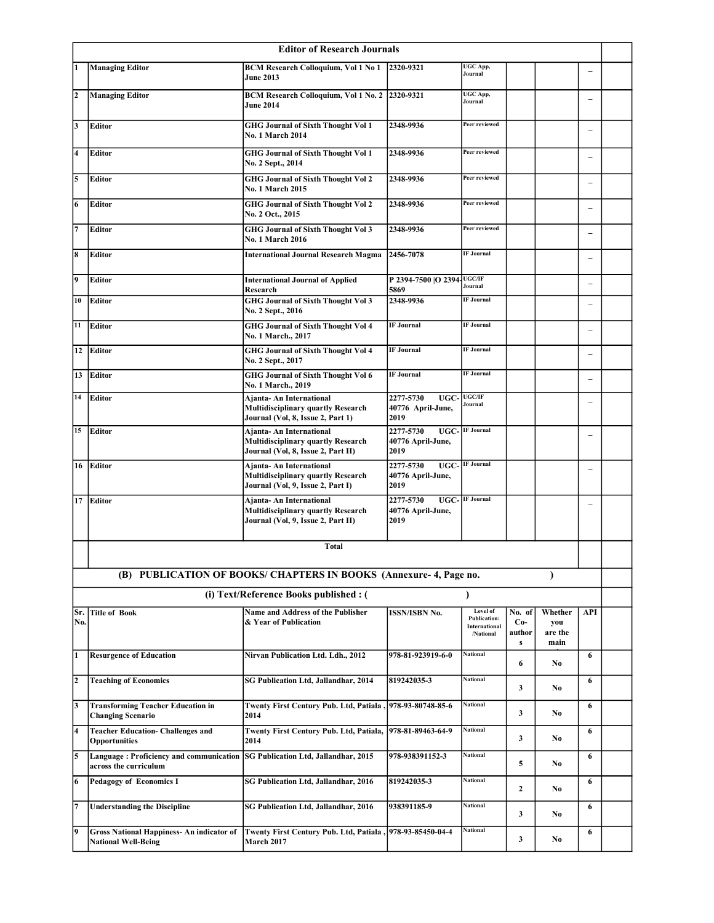| <b>Editor of Research Journals</b> |                                                                                |                                                                                                             |                                                      |                                                               |                                |                                   |                          |  |
|------------------------------------|--------------------------------------------------------------------------------|-------------------------------------------------------------------------------------------------------------|------------------------------------------------------|---------------------------------------------------------------|--------------------------------|-----------------------------------|--------------------------|--|
| l1                                 | <b>Managing Editor</b>                                                         | <b>BCM Research Colloquium, Vol 1 No 1</b><br><b>June 2013</b>                                              | 2320-9321                                            | UGC App,<br>Journal                                           |                                |                                   | $\qquad \qquad -$        |  |
| 2                                  | <b>Managing Editor</b>                                                         | BCM Research Colloquium, Vol 1 No. 2 2320-9321<br><b>June 2014</b>                                          |                                                      | UGC App,<br>Journal                                           |                                |                                   | $\overline{\phantom{0}}$ |  |
| l3                                 | <b>Editor</b>                                                                  | <b>GHG Journal of Sixth Thought Vol 1</b><br><b>No. 1 March 2014</b>                                        | 2348-9936                                            | Peer reviewed                                                 |                                |                                   | $\equiv$                 |  |
| 4                                  | <b>Editor</b>                                                                  | <b>GHG Journal of Sixth Thought Vol 1</b><br>No. 2 Sept., 2014                                              | 2348-9936                                            | Peer reviewed                                                 |                                |                                   | $\equiv$                 |  |
| 5                                  | <b>Editor</b>                                                                  | <b>GHG Journal of Sixth Thought Vol 2</b><br><b>No. 1 March 2015</b>                                        | 2348-9936                                            | Peer reviewed                                                 |                                |                                   | $\overline{\phantom{0}}$ |  |
| 6                                  | <b>Editor</b>                                                                  | <b>GHG Journal of Sixth Thought Vol 2</b><br>No. 2 Oct., 2015                                               | 2348-9936                                            | Peer reviewed                                                 |                                |                                   | $\overline{\phantom{0}}$ |  |
| l7                                 | Editor                                                                         | <b>GHG Journal of Sixth Thought Vol 3</b><br><b>No. 1 March 2016</b>                                        | 2348-9936                                            | Peer reviewed                                                 |                                |                                   | $\overline{\phantom{0}}$ |  |
| 8                                  | <b>Editor</b>                                                                  | <b>International Journal Research Magma</b>                                                                 | 2456-7078                                            | <b>IF Journal</b>                                             |                                |                                   |                          |  |
| 9                                  | <b>Editor</b>                                                                  | <b>International Journal of Applied</b><br>Research                                                         | P 2394-7500  O 2394 UGC/IF<br>5869                   | Journal                                                       |                                |                                   | $\equiv$                 |  |
| 10                                 | <b>Editor</b>                                                                  | <b>GHG Journal of Sixth Thought Vol 3</b><br>No. 2 Sept., 2016                                              | 2348-9936                                            | <b>IF Journal</b>                                             |                                |                                   | $\overline{\phantom{0}}$ |  |
| 11                                 | <b>Editor</b>                                                                  | <b>GHG Journal of Sixth Thought Vol 4</b><br>No. 1 March., 2017                                             | <b>IF</b> Journal                                    | <b>IF Journal</b>                                             |                                |                                   | $\overline{\phantom{0}}$ |  |
| 12                                 | <b>Editor</b>                                                                  | <b>GHG Journal of Sixth Thought Vol 4</b><br>No. 2 Sept., 2017                                              | <b>IF Journal</b>                                    | <b>IF Journal</b>                                             |                                |                                   | $\overline{\phantom{0}}$ |  |
| 13                                 | <b>Editor</b>                                                                  | <b>GHG Journal of Sixth Thought Vol 6</b><br>No. 1 March., 2019                                             | <b>IF Journal</b>                                    | <b>IF Journal</b>                                             |                                |                                   | $\overline{\phantom{0}}$ |  |
| 14                                 | Editor                                                                         | Ajanta- An International<br><b>Multidisciplinary quartly Research</b><br>Journal (Vol, 8, Issue 2, Part 1)  | UGC-UGC/IF<br>2277-5730<br>40776 April-June,<br>2019 | Journal                                                       |                                |                                   | $\overline{a}$           |  |
| 15                                 | <b>Editor</b>                                                                  | Ajanta- An International<br><b>Multidisciplinary quartly Research</b><br>Journal (Vol, 8, Issue 2, Part II) | 2277-5730<br>40776 April-June,<br>2019               | <b>UGC-</b> IF Journal                                        |                                |                                   | $\overline{\phantom{0}}$ |  |
| 16                                 | Editor                                                                         | Ajanta- An International<br><b>Multidisciplinary quartly Research</b><br>Journal (Vol, 9, Issue 2, Part I)  | 2277-5730<br>40776 April-June,<br>2019               | <b>UGC-</b> IF Journal                                        |                                |                                   | $\qquad \qquad -$        |  |
| 17                                 | Editor                                                                         | Ajanta- An International<br><b>Multidisciplinary quartly Research</b><br>Journal (Vol, 9, Issue 2, Part II) | 2277-5730<br>40776 April-June,<br>2019               | <b>UGC-</b> IF Journal                                        |                                |                                   | $\overline{\phantom{0}}$ |  |
|                                    |                                                                                | <b>Total</b>                                                                                                |                                                      |                                                               |                                |                                   |                          |  |
|                                    |                                                                                | (B) PUBLICATION OF BOOKS/ CHAPTERS IN BOOKS (Annexure-4, Page no.                                           |                                                      |                                                               |                                | $\lambda$                         |                          |  |
|                                    |                                                                                | (i) Text/Reference Books published : (                                                                      |                                                      | $\lambda$                                                     |                                |                                   |                          |  |
| Sr.<br>No.                         | <b>Title of Book</b>                                                           | Name and Address of the Publisher<br>& Year of Publication                                                  | <b>ISSN/ISBN No.</b>                                 | Level of<br><b>Publication:</b><br>International<br>/National | No. of<br>$Co-$<br>author<br>s | Whether<br>you<br>are the<br>main | API                      |  |
| l1                                 | <b>Resurgence of Education</b>                                                 | Nirvan Publication Ltd. Ldh., 2012                                                                          | 978-81-923919-6-0                                    | National                                                      | 6                              | No                                | 6                        |  |
| 2                                  | <b>Teaching of Economics</b>                                                   | SG Publication Ltd, Jallandhar, 2014                                                                        | 819242035-3                                          | <b>National</b>                                               | 3                              | No                                | 6                        |  |
| l3                                 | <b>Transforming Teacher Education in</b><br><b>Changing Scenario</b>           | Twenty First Century Pub. Ltd, Patiala,<br>2014                                                             | 978-93-80748-85-6                                    | National                                                      | 3                              | No                                | 6                        |  |
| 4                                  | <b>Teacher Education- Challenges and</b><br><b>Opportunities</b>               | Twenty First Century Pub. Ltd, Patiala,<br>2014                                                             | 978-81-89463-64-9                                    | <b>National</b>                                               | 3                              | No                                | 6                        |  |
| 5                                  | Language: Proficiency and communication<br>across the curriculum               | SG Publication Ltd, Jallandhar, 2015                                                                        | 978-938391152-3                                      | National                                                      | 5                              | No                                | 6                        |  |
| 6                                  | <b>Pedagogy of Economics I</b>                                                 | SG Publication Ltd, Jallandhar, 2016                                                                        | 819242035-3                                          | National                                                      | $\mathbf{2}$                   | No                                | 6                        |  |
| 7                                  | <b>Understanding the Discipline</b>                                            | SG Publication Ltd, Jallandhar, 2016                                                                        | 938391185-9                                          | <b>National</b>                                               | 3                              | No                                | 6                        |  |
| 19                                 | <b>Gross National Happiness- An indicator of</b><br><b>National Well-Being</b> | Twenty First Century Pub. Ltd, Patiala, 978-93-85450-04-4<br>March 2017                                     |                                                      | National                                                      | 3                              | No.                               | 6                        |  |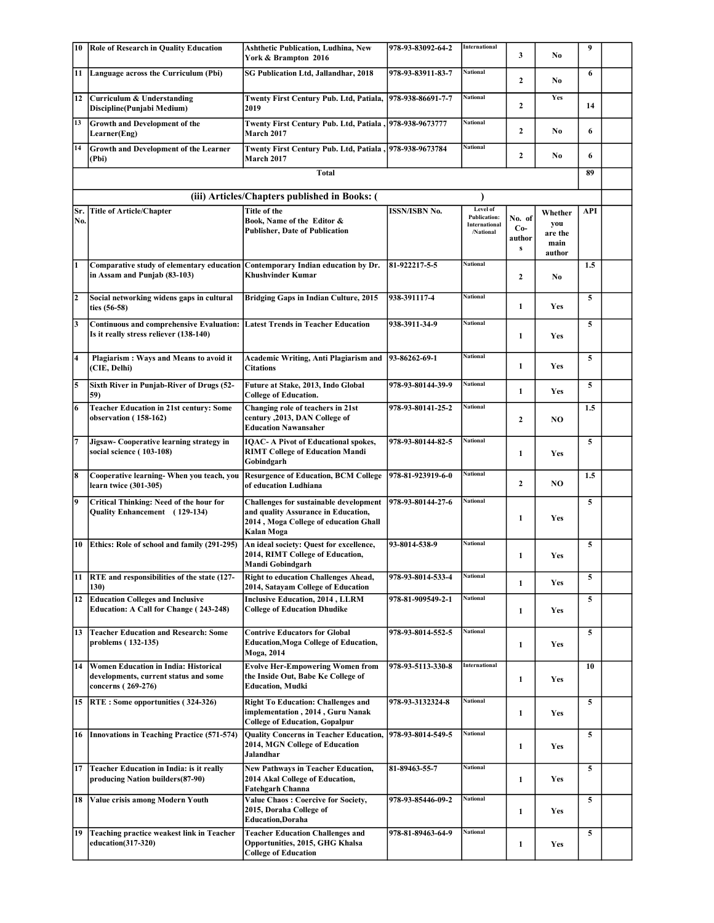| 10                      | Role of Research in Quality Education                                                                          | <b>Ashthetic Publication, Ludhina, New</b><br>York & Brampton 2016                                                                   | 978-93-83092-64-2    | International                                                 | 3                              | No                                          | 9          |  |
|-------------------------|----------------------------------------------------------------------------------------------------------------|--------------------------------------------------------------------------------------------------------------------------------------|----------------------|---------------------------------------------------------------|--------------------------------|---------------------------------------------|------------|--|
| 11                      | Language across the Curriculum (Pbi)                                                                           | <b>SG Publication Ltd, Jallandhar, 2018</b>                                                                                          | 978-93-83911-83-7    | <b>National</b>                                               | $\mathbf{2}$                   | No                                          | 6          |  |
| 12                      | Curriculum & Understanding<br>Discipline(Punjabi Medium)                                                       | Twenty First Century Pub. Ltd, Patiala,<br>2019                                                                                      | 978-938-86691-7-7    | National                                                      | 2                              | Yes                                         | 14         |  |
| 13                      | <b>Growth and Development of the</b><br>Learner(Eng)                                                           | Twenty First Century Pub. Ltd, Patiala, 978-938-9673777<br><b>March 2017</b>                                                         |                      | National                                                      | $\mathbf{2}$                   | No                                          | 6          |  |
| 14                      | Growth and Development of the Learner<br>(Pbi)                                                                 | 1978-938-9673784, Twenty First Century Pub. Ltd, Patiala<br><b>March 2017</b>                                                        |                      | National                                                      | $\mathbf{2}$                   | No                                          | 6          |  |
|                         |                                                                                                                | <b>Total</b>                                                                                                                         |                      |                                                               |                                |                                             | 89         |  |
|                         |                                                                                                                | (iii) Articles/Chapters published in Books: (                                                                                        |                      |                                                               |                                |                                             |            |  |
| Sr.<br>No.              | <b>Title of Article/Chapter</b>                                                                                | Title of the<br>Book, Name of the Editor &<br><b>Publisher, Date of Publication</b>                                                  | <b>ISSN/ISBN No.</b> | Level of<br><b>Publication:</b><br>International<br>/National | No. of<br>$Co-$<br>author<br>s | Whether<br>you<br>are the<br>main<br>author | <b>API</b> |  |
| I1                      | Comparative study of elementary education Contemporary Indian education by Dr.<br>in Assam and Punjab (83-103) | <b>Khushvinder Kumar</b>                                                                                                             | 81-922217-5-5        | <b>National</b>                                               | $\overline{2}$                 | No                                          | 1.5        |  |
| 2                       | Social networking widens gaps in cultural<br>ties (56-58)                                                      | <b>Bridging Gaps in Indian Culture, 2015</b>                                                                                         | 938-391117-4         | National                                                      | $\mathbf{1}$                   | Yes                                         | 5          |  |
| 3                       | <b>Continuous and comprehensive Evaluation:</b><br>Is it really stress reliever (138-140)                      | <b>Latest Trends in Teacher Education</b>                                                                                            | 938-3911-34-9        | <b>National</b>                                               | 1                              | <b>Yes</b>                                  | 5          |  |
| 4                       | Plagiarism : Ways and Means to avoid it<br>(CIE, Delhi)                                                        | Academic Writing, Anti Plagiarism and<br><b>Citations</b>                                                                            | 93-86262-69-1        | <b>National</b>                                               | 1                              | Yes                                         | 5          |  |
| 5                       | Sixth River in Punjab-River of Drugs (52-<br>59)                                                               | Future at Stake, 2013, Indo Global<br><b>College of Education.</b>                                                                   | 978-93-80144-39-9    | <b>National</b>                                               | 1                              | Yes                                         | 5          |  |
| 6                       | <b>Teacher Education in 21st century: Some</b><br>observation (158-162)                                        | Changing role of teachers in 21st<br>century , 2013, DAN College of<br><b>Education Nawansaher</b>                                   | 978-93-80141-25-2    | National                                                      | $\overline{2}$                 | NO.                                         | 1.5        |  |
| 7                       | Jigsaw- Cooperative learning strategy in<br>social science ( 103-108)                                          | <b>IQAC-A Pivot of Educational spokes,</b><br><b>RIMT College of Education Mandi</b><br>Gobindgarh                                   | 978-93-80144-82-5    | <b>National</b>                                               | 1                              | <b>Yes</b>                                  | 5          |  |
| $\overline{\mathbf{8}}$ | Cooperative learning- When you teach, you<br>learn twice (301-305)                                             | <b>Resurgence of Education, BCM College</b><br>of education Ludhiana                                                                 | 978-81-923919-6-0    | National                                                      | $\overline{2}$                 | NO.                                         | 1.5        |  |
| 9                       | Critical Thinking: Need of the hour for<br>Quality Enhancement (129-134)                                       | Challenges for sustainable development<br>and quality Assurance in Education,<br>2014, Moga College of education Ghall<br>Kalan Moga | 978-93-80144-27-6    | <b>National</b>                                               | 1                              | Yes                                         | 5          |  |
| 10                      | Ethics: Role of school and family (291-295)                                                                    | An ideal society: Quest for excellence,<br>2014, RIMT College of Education,<br>Mandi Gobindgarh                                      | 93-8014-538-9        | National                                                      | 1                              | <b>Yes</b>                                  | 5          |  |
| 11                      | RTE and responsibilities of the state (127-<br>130)                                                            | <b>Right to education Challenges Ahead,</b><br>2014, Satayam College of Education                                                    | 978-93-8014-533-4    | National                                                      | 1                              | Yes                                         | 5          |  |
| 12                      | <b>Education Colleges and Inclusive</b><br>Education: A Call for Change (243-248)                              | <b>Inclusive Education, 2014, LLRM</b><br><b>College of Education Dhudike</b>                                                        | 978-81-909549-2-1    | National                                                      | 1                              | Yes                                         | 5          |  |
| 13                      | <b>Teacher Education and Research: Some</b><br>problems (132-135)                                              | <b>Contrive Educators for Global</b><br><b>Education, Moga College of Education,</b><br>Moga, 2014                                   | 978-93-8014-552-5    | National                                                      | 1                              | Yes                                         | 5          |  |
| 14                      | Women Education in India: Historical<br>developments, current status and some<br>concerns (269-276)            | <b>Evolve Her-Empowering Women from</b><br>the Inside Out, Babe Ke College of<br><b>Education, Mudki</b>                             | 978-93-5113-330-8    | <b>International</b>                                          | 1                              | <b>Yes</b>                                  | 10         |  |
| 15                      | <b>RTE: Some opportunities (324-326)</b>                                                                       | <b>Right To Education: Challenges and</b><br>implementation, 2014, Guru Nanak<br><b>College of Education, Gopalpur</b>               | 978-93-3132324-8     | <b>National</b>                                               | $\mathbf{1}$                   | <b>Yes</b>                                  | 5          |  |
| 16                      | <b>Innovations in Teaching Practice (571-574)</b>                                                              | <b>Quality Concerns in Teacher Education,</b><br>2014, MGN College of Education<br>Jalandhar                                         | 978-93-8014-549-5    | <b>National</b>                                               | 1                              | <b>Yes</b>                                  | 5          |  |
| 17                      | Teacher Education in India: is it really<br>producing Nation builders(87-90)                                   | <b>New Pathways in Teacher Education,</b><br>2014 Akal College of Education,<br><b>Fatehgarh Channa</b>                              | 81-89463-55-7        | National                                                      | 1                              | Yes                                         | 5          |  |
| 18                      | Value crisis among Modern Youth                                                                                | Value Chaos: Coercive for Society,<br>2015, Doraha College of<br><b>Education, Doraha</b>                                            | 978-93-85446-09-2    | National                                                      | 1                              | <b>Yes</b>                                  | 5          |  |
| 19                      | Teaching practice weakest link in Teacher<br>education(317-320)                                                | <b>Teacher Education Challenges and</b><br>Opportunities, 2015, GHG Khalsa<br><b>College of Education</b>                            | 978-81-89463-64-9    | National                                                      | 1                              | Yes                                         | 5          |  |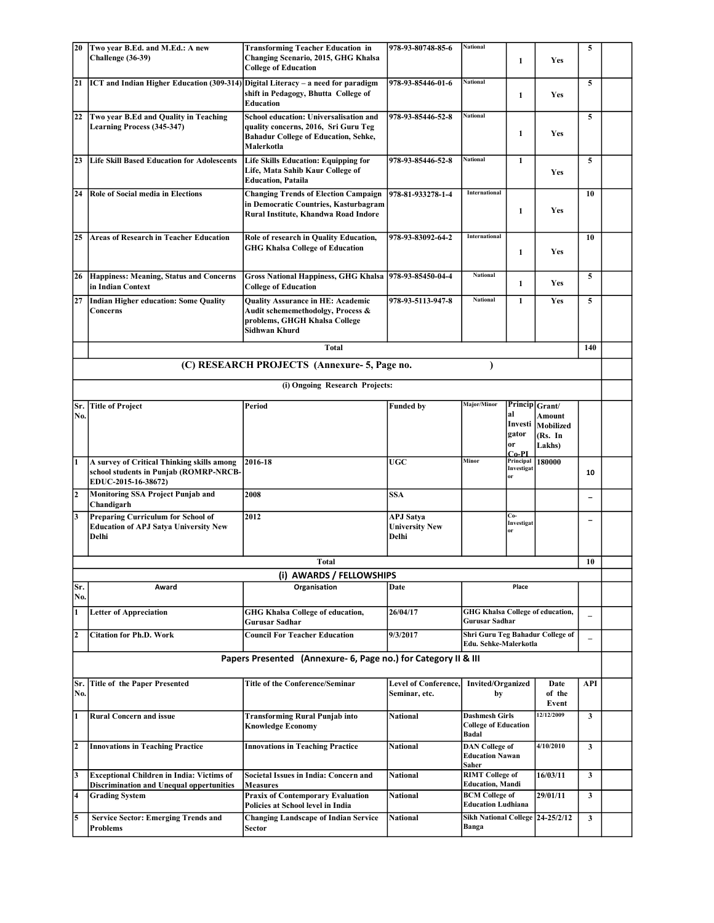| <b>20</b>               | Two year B.Ed. and M.Ed.: A new                                                                                    | <b>Transforming Teacher Education in</b>                                                                                                    | 978-93-80748-85-6                                  | <b>National</b>                                                      |                                                         |                                          | 5                        |  |
|-------------------------|--------------------------------------------------------------------------------------------------------------------|---------------------------------------------------------------------------------------------------------------------------------------------|----------------------------------------------------|----------------------------------------------------------------------|---------------------------------------------------------|------------------------------------------|--------------------------|--|
|                         | Challenge (36-39)                                                                                                  | Changing Scenario, 2015, GHG Khalsa<br><b>College of Education</b>                                                                          |                                                    |                                                                      | 1                                                       | <b>Yes</b>                               |                          |  |
| 21                      | ICT and Indian Higher Education (309-314) Digital Literacy - a need for paradigm                                   | shift in Pedagogy, Bhutta College of<br>Education                                                                                           | 978-93-85446-01-6                                  | <b>National</b>                                                      | $\mathbf{1}$                                            | Yes                                      | 5                        |  |
| 22                      | Two year B.Ed and Quality in Teaching<br><b>Learning Process (345-347)</b>                                         | School education: Universalisation and<br>quality concerns, 2016, Sri Guru Teg<br><b>Bahadur College of Education, Sehke,</b><br>Malerkotla | 978-93-85446-52-8                                  | <b>National</b>                                                      | $\mathbf{1}$                                            | Yes                                      | 5                        |  |
| 23                      | <b>Life Skill Based Education for Adolescents</b>                                                                  | <b>Life Skills Education: Equipping for</b><br>Life, Mata Sahib Kaur College of<br><b>Education, Pataila</b>                                | 978-93-85446-52-8                                  | <b>National</b>                                                      | 1                                                       | Yes                                      | 5                        |  |
| 24                      | <b>Role of Social media in Elections</b>                                                                           | <b>Changing Trends of Election Campaign</b><br>in Democratic Countries, Kasturbagram<br>Rural Institute, Khandwa Road Indore                | 978-81-933278-1-4                                  | International                                                        | 1                                                       | Yes                                      | 10                       |  |
| 25                      | <b>Areas of Research in Teacher Education</b>                                                                      | Role of research in Quality Education,<br><b>GHG Khalsa College of Education</b>                                                            | 978-93-83092-64-2                                  | International                                                        | 1                                                       | Yes                                      | 10                       |  |
| 26                      | Happiness: Meaning, Status and Concerns<br>in Indian Context                                                       | <b>Gross National Happiness, GHG Khalsa</b><br><b>College of Education</b>                                                                  | 978-93-85450-04-4                                  | <b>National</b>                                                      | $\mathbf{1}$                                            | Yes                                      | 5                        |  |
| 27                      | Indian Higher education: Some Quality<br>Concerns                                                                  | <b>Quality Assurance in HE: Academic</b><br>Audit schememethodolgy, Process &<br>problems, GHGH Khalsa College<br><b>Sidhwan Khurd</b>      | 978-93-5113-947-8                                  | <b>National</b>                                                      | 1                                                       | Yes                                      | 5                        |  |
|                         |                                                                                                                    | <b>Total</b>                                                                                                                                |                                                    |                                                                      |                                                         |                                          | 140                      |  |
|                         |                                                                                                                    | (C) RESEARCH PROJECTS (Annexure-5, Page no.                                                                                                 |                                                    | $\mathcal{E}$                                                        |                                                         |                                          |                          |  |
|                         |                                                                                                                    | (i) Ongoing Research Projects:                                                                                                              |                                                    |                                                                      |                                                         |                                          |                          |  |
| Sr.<br>No.              | <b>Title of Project</b>                                                                                            | Period                                                                                                                                      | <b>Funded by</b>                                   | Major/Minor                                                          | Princip Grant/<br>al<br>Investi<br>gator<br>or<br>Co-PI | Amount<br>Mobilized<br>(Rs. In<br>Lakhs) |                          |  |
| 1                       | A survey of Critical Thinking skills among<br>school students in Punjab (ROMRP-NRCB-<br><b>EDUC-2015-16-38672)</b> | 2016-18                                                                                                                                     | <b>UGC</b>                                         | Minor                                                                | Principal<br>Investigat<br>or                           | 180000                                   | 10                       |  |
| $\overline{2}$          | <b>Monitoring SSA Project Punjab and</b><br>Chandigarh                                                             | 2008                                                                                                                                        | <b>SSA</b>                                         |                                                                      |                                                         |                                          |                          |  |
| 3                       | <b>Preparing Curriculum for School of</b><br><b>Education of APJ Satya University New</b><br>Delhi                 | 2012                                                                                                                                        | <b>APJ Satya</b><br><b>University New</b><br>Delhi |                                                                      | Co-<br>Investigat<br>or                                 |                                          | $\overline{\phantom{0}}$ |  |
|                         |                                                                                                                    | Total                                                                                                                                       |                                                    |                                                                      |                                                         |                                          | 10                       |  |
| Sr.                     | Award                                                                                                              | (i) AWARDS / FELLOWSHIPS                                                                                                                    | Date                                               |                                                                      | Place                                                   |                                          |                          |  |
| No.                     |                                                                                                                    | Organisation                                                                                                                                |                                                    |                                                                      |                                                         |                                          |                          |  |
| 1                       | <b>Letter of Appreciation</b>                                                                                      | GHG Khalsa College of education,<br>Gurusar Sadhar                                                                                          | 26/04/17                                           | <b>GHG Khalsa College of education,</b><br>Gurusar Sadhar            |                                                         |                                          |                          |  |
| 2                       | <b>Citation for Ph.D. Work</b>                                                                                     | <b>Council For Teacher Education</b>                                                                                                        | 9/3/2017                                           | Shri Guru Teg Bahadur College of<br>Edu. Sehke-Malerkotla            |                                                         |                                          | $\qquad \qquad -$        |  |
|                         |                                                                                                                    | Papers Presented (Annexure- 6, Page no.) for Category II & III                                                                              |                                                    |                                                                      |                                                         |                                          |                          |  |
| No.                     | Sr. Title of the Paper Presented                                                                                   | <b>Title of the Conference/Seminar</b>                                                                                                      | <b>Level of Conference,</b><br>Seminar, etc.       | <b>Invited/Organized</b><br>by                                       |                                                         | Date<br>of the<br>Event                  | API                      |  |
| $\bf{1}$                | <b>Rural Concern and issue</b>                                                                                     | <b>Transforming Rural Punjab into</b><br><b>Knowledge Economy</b>                                                                           | <b>National</b>                                    | <b>Dashmesh Girls</b><br><b>College of Education</b><br><b>Badal</b> |                                                         | 12/12/2009                               | $\mathbf{3}$             |  |
| $\overline{2}$          | <b>Innovations in Teaching Practice</b>                                                                            | <b>Innovations in Teaching Practice</b>                                                                                                     | National                                           | <b>DAN</b> College of<br><b>Education Nawan</b><br>Saher             |                                                         | 4/10/2010                                | 3                        |  |
| $\overline{\mathbf{3}}$ | <b>Exceptional Children in India: Victims of</b><br><b>Discrimination and Unequal oppertunities</b>                | Societal Issues in India: Concern and<br><b>Measures</b>                                                                                    | National                                           | <b>RIMT</b> College of<br><b>Education, Mandi</b>                    |                                                         | 16/03/11                                 | 3                        |  |
| 4                       | <b>Grading System</b>                                                                                              | <b>Praxix of Contemporary Evaluation</b><br>Policies at School level in India                                                               | National                                           | <b>BCM College of</b><br><b>Education Ludhiana</b>                   |                                                         | 29/01/11                                 | 3                        |  |
| 5                       | <b>Service Sector: Emerging Trends and</b><br>Problems                                                             | <b>Changing Landscape of Indian Service</b><br>Sector                                                                                       | <b>National</b>                                    | Sikh National College 24-25/2/12<br>Banga                            |                                                         |                                          | 3                        |  |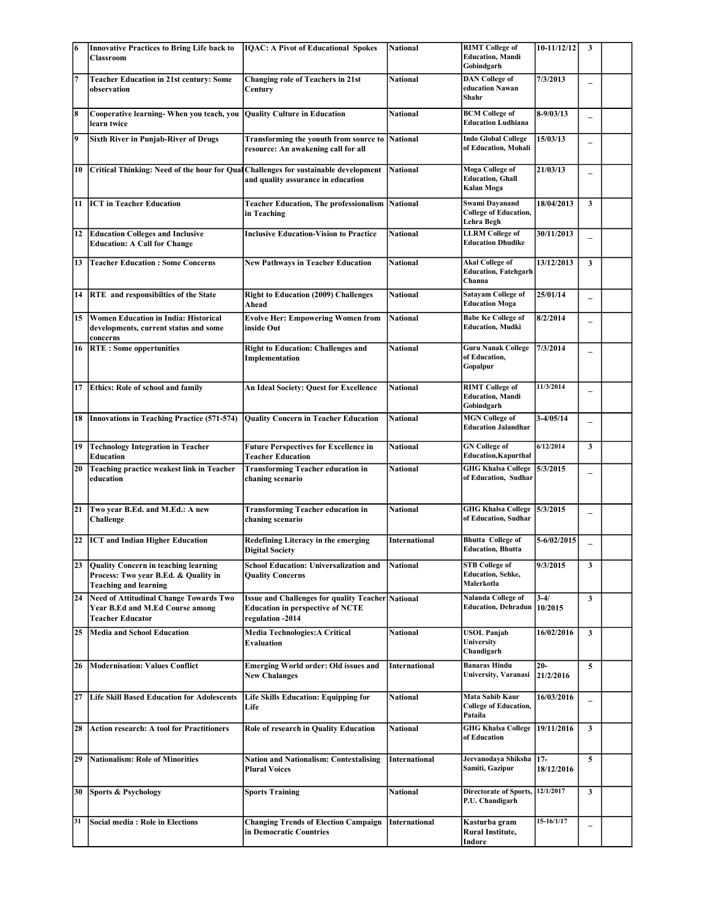| 6  | <b>Innovative Practices to Bring Life back to</b>                                                               | <b>IOAC: A Pivot of Educational Spokes</b>                                                                              | <b>National</b>      | <b>RIMT</b> College of                                           | $10-11/12/12$      | 3                        |  |
|----|-----------------------------------------------------------------------------------------------------------------|-------------------------------------------------------------------------------------------------------------------------|----------------------|------------------------------------------------------------------|--------------------|--------------------------|--|
|    | Classroom                                                                                                       |                                                                                                                         |                      | <b>Education, Mandi</b><br>Gobindgarh                            |                    |                          |  |
| 7  | <b>Teacher Education in 21st century: Some</b><br>observation                                                   | <b>Changing role of Teachers in 21st</b><br>Century                                                                     | National             | <b>DAN</b> College of<br>education Nawan<br>Shahr                | 7/3/2013           |                          |  |
| 8  | Cooperative learning- When you teach, you<br>learn twice                                                        | <b>Quality Culture in Education</b>                                                                                     | National             | <b>BCM</b> College of<br><b>Education Ludhiana</b>               | $8-9/03/13$        |                          |  |
| 9  | <b>Sixth River in Punjab-River of Drugs</b>                                                                     | Transforming the youuth from source to<br>resource: An awakening call for all                                           | <b>National</b>      | <b>Indo Global College</b><br>of Education, Mohali               | 15/03/13           |                          |  |
| 10 | Critical Thinking: Need of the hour for Qual                                                                    | Challenges for sustainable development<br>and quality assurance in education                                            | <b>National</b>      | Moga College of<br><b>Education, Ghall</b><br>Kalan Moga         | 21/03/13           |                          |  |
| 11 | <b>ICT</b> in Teacher Education                                                                                 | <b>Teacher Education, The professionalism</b><br>in Teaching                                                            | <b>National</b>      | Swami Dayanand<br><b>College of Education,</b><br>Lehra Begh     | 18/04/2013         | $\mathbf{3}$             |  |
| 12 | <b>Education Colleges and Inclusive</b><br><b>Education: A Call for Change</b>                                  | <b>Inclusive Education-Vision to Practice</b>                                                                           | National             | <b>LLRM</b> College of<br><b>Education Dhudike</b>               | 30/11/2013         | $\overline{\phantom{0}}$ |  |
| 13 | <b>Teacher Education: Some Concerns</b>                                                                         | <b>New Pathways in Teacher Education</b>                                                                                | National             | <b>Akal College of</b><br><b>Education, Fatehgarh</b><br>Channa  | 13/12/2013         | $\mathbf{3}$             |  |
|    | 14 RTE and responsibilties of the State                                                                         | <b>Right to Education (2009) Challenges</b><br>Ahead                                                                    | National             | <b>Satayam College of</b><br><b>Education Moga</b>               | 25/01/14           | $\overline{a}$           |  |
| 15 | Women Education in India: Historical<br>developments, current status and some<br>concerns                       | <b>Evolve Her: Empowering Women from</b><br>inside Out                                                                  | National             | <b>Babe Ke College of</b><br><b>Education, Mudki</b>             | 8/2/2014           | $\overline{\phantom{0}}$ |  |
|    | 16   RTE : Some oppertunities                                                                                   | <b>Right to Education: Challenges and</b><br>Implementation                                                             | <b>National</b>      | <b>Guru Nanak College</b><br>of Education,<br>Gopalpur           | 7/3/2014           |                          |  |
| 17 | Ethics: Role of school and family                                                                               | An Ideal Society: Quest for Excellence                                                                                  | National             | <b>RIMT</b> College of<br><b>Education, Mandi</b><br>Gobindgarh  | 11/3/2014          |                          |  |
|    | 18 Innovations in Teaching Practice (571-574)                                                                   | <b>Quality Concern in Teacher Education</b>                                                                             | National             | <b>MGN</b> College of<br><b>Education Jalandhar</b>              | $3 - 4/05/14$      |                          |  |
| 19 | <b>Technology Integration in Teacher</b><br>Education                                                           | <b>Future Perspectives for Excellence in</b><br><b>Teacher Education</b>                                                | National             | <b>GN</b> College of<br><b>Education, Kapurthal</b>              | 6/12/2014          | $\mathbf{3}$             |  |
| 20 | Teaching practice weakest link in Teacher<br>education                                                          | <b>Transforming Teacher education in</b><br>chaning scenario                                                            | National             | <b>GHG Khalsa College</b><br>of Education, Sudhar                | 5/3/2015           | $\overline{\phantom{0}}$ |  |
| 21 | Two year B.Ed. and M.Ed.: A new<br>Challenge                                                                    | <b>Transforming Teacher education in</b><br>chaning scenario                                                            | <b>National</b>      | GHG Khalsa College 5/3/2015<br>of Education, Sudhar              |                    |                          |  |
| 22 | <b>ICT</b> and Indian Higher Education                                                                          | Redefining Literacy in the emerging<br><b>Digital Society</b>                                                           | <b>International</b> | <b>Bhutta</b> College of<br><b>Education</b> , <b>Bhutta</b>     | 5-6/02/2015        |                          |  |
|    | 23 Quality Concern in teaching learning<br>Process: Two year B.Ed. & Quality in<br><b>Teaching and learning</b> | <b>School Education: Universalization and</b><br><b>Quality Concerns</b>                                                | National             | <b>STB College of</b><br><b>Education</b> , Sehke,<br>Malerkotla | 9/3/2015           | 3                        |  |
|    | 24 Need of Attitudinal Change Towards Two<br>Year B.Ed and M.Ed Course among<br><b>Teacher Educator</b>         | <b>Issue and Challenges for quality Teacher National</b><br><b>Education in perspective of NCTE</b><br>regulation -2014 |                      | Nalanda College of<br><b>Education, Dehradun</b>                 | $3-4/$<br>10/2015  | $\mathbf{3}$             |  |
| 25 | Media and School Education                                                                                      | <b>Media Technologies: A Critical</b><br>Evaluation                                                                     | National             | <b>USOL Panjab</b><br>University<br>Chandigarh                   | 16/02/2016         | $\mathbf{3}$             |  |
| 26 | Modernisation: Values Conflict                                                                                  | <b>Emerging World order: Old issues and</b><br><b>New Chalanges</b>                                                     | <b>International</b> | <b>Banaras Hindu</b><br>University, Varanasi                     | $20-$<br>21/2/2016 | 5                        |  |
| 27 | <b>Life Skill Based Education for Adolescents</b>                                                               | Life Skills Education: Equipping for<br>Life                                                                            | National             | Mata Sahib Kaur<br><b>College of Education,</b><br>Pataila       | 16/03/2016         |                          |  |
| 28 | <b>Action research: A tool for Practitioners</b>                                                                | <b>Role of research in Quality Education</b>                                                                            | National             | <b>GHG Khalsa College</b><br>of Education                        | 19/11/2016         | 3                        |  |
| 29 | Nationalism: Role of Minorities                                                                                 | <b>Nation and Nationalism: Contextalising</b><br><b>Plural Voices</b>                                                   | International        | Jeevanodaya Shiksha 17-<br>Samiti, Gazipur                       | 18/12/2016         | 5                        |  |
| 30 | Sports & Psychology                                                                                             | <b>Sports Training</b>                                                                                                  | National             | <b>Directorate of Sports,</b><br>P.U. Chandigarh                 | 12/1/2017          | 3                        |  |
| 31 | <b>Social media: Role in Elections</b>                                                                          | <b>Changing Trends of Election Campaign</b><br>in Democratic Countries                                                  | <b>International</b> | Kasturba gram<br>Rural Institute,<br>Indore                      | 15-16/1/17         |                          |  |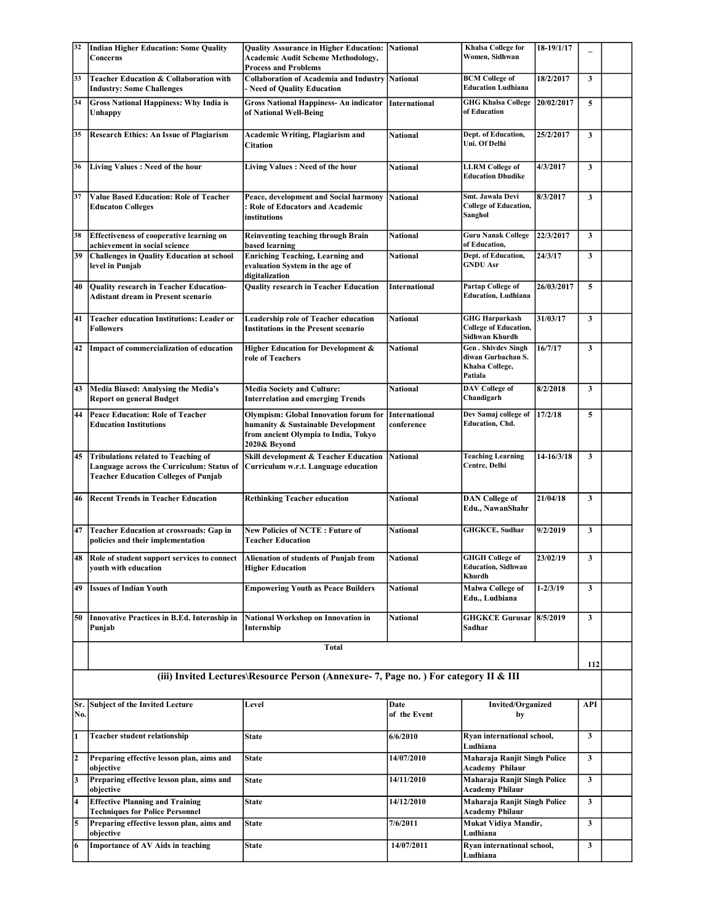| 32             | <b>Indian Higher Education: Some Quality</b>                                                       | Quality Assurance in Higher Education: National                                                                                            |                                    | Khalsa College for                                                            | 18-19/1/17   |              |  |
|----------------|----------------------------------------------------------------------------------------------------|--------------------------------------------------------------------------------------------------------------------------------------------|------------------------------------|-------------------------------------------------------------------------------|--------------|--------------|--|
|                | Concerns                                                                                           | <b>Academic Audit Scheme Methodology,</b><br><b>Process and Problems</b>                                                                   |                                    | Women, Sidhwan                                                                |              |              |  |
| 33             | Teacher Education & Collaboration with<br><b>Industry: Some Challenges</b>                         | <b>Collaboration of Academia and Industry</b><br>- Need of Quality Education                                                               | <b>National</b>                    | <b>BCM College of</b><br><b>Education Ludhiana</b>                            | 18/2/2017    | $\mathbf{3}$ |  |
| 34             | <b>Gross National Happiness: Why India is</b><br>Unhappy                                           | <b>Gross National Happiness-An indicator International</b><br>of National Well-Being                                                       |                                    | <b>GHG Khalsa College</b><br>of Education                                     | 20/02/2017   | 5            |  |
| 35             | <b>Research Ethics: An Issue of Plagiarism</b>                                                     | <b>Academic Writing, Plagiarism and</b><br>Citation                                                                                        | <b>National</b>                    | Dept. of Education,<br>Uni. Of Delhi                                          | 25/2/2017    | $\mathbf{3}$ |  |
| 36             | Living Values: Need of the hour                                                                    | Living Values : Need of the hour                                                                                                           | <b>National</b>                    | <b>LLRM</b> College of<br><b>Education Dhudike</b>                            | 4/3/2017     | $\mathbf{3}$ |  |
| 37             | <b>Value Based Education: Role of Teacher</b><br><b>Educaton Colleges</b>                          | Peace, development and Social harmony<br>: Role of Educators and Academic<br>institutions                                                  | <b>National</b>                    | Smt. Jawala Devi<br><b>College of Education,</b><br>Sanghol                   | 8/3/2017     | $\mathbf{3}$ |  |
| 38             | <b>Effectiveness of cooperative learning on</b><br>achievement in social science                   | Reinventing teaching through Brain<br>based learning                                                                                       | <b>National</b>                    | <b>Guru Nanak College</b><br>of Education,                                    | 22/3/2017    | 3            |  |
| 39             | <b>Challenges in Quality Education at school</b><br>level in Punjab                                | <b>Enriching Teaching, Learning and</b><br>evaluation System in the age of<br>digitalization                                               | <b>National</b>                    | Dept. of Education,<br><b>GNDU Asr</b>                                        | 24/3/17      | 3            |  |
| 40             | Quality research in Teacher Education-<br><b>Adistant dream in Present scenario</b>                | <b>Quality research in Teacher Education</b>                                                                                               | International                      | Partap College of<br><b>Education</b> , Ludhiana                              | 26/03/2017   | 5            |  |
| 41             | <b>Teacher education Institutions: Leader or</b><br>Followers                                      | Leadership role of Teacher education<br><b>Institutions in the Present scenario</b>                                                        | <b>National</b>                    | <b>GHG Harparkash</b><br><b>College of Education,</b><br>Sidhwan Khurdh       | 31/03/17     | $\mathbf{3}$ |  |
| 42             | Impact of commercialization of education                                                           | Higher Education for Development &<br>role of Teachers                                                                                     | National                           | <b>Gen. Shivdev Singh</b><br>diwan Gurbachan S.<br>Khalsa College,<br>Patiala | 16/7/17      | $\mathbf{3}$ |  |
| 43             | Media Biased: Analysing the Media's<br><b>Report on general Budget</b>                             | <b>Media Society and Culture:</b><br><b>Interrelation and emerging Trends</b>                                                              | <b>National</b>                    | <b>DAV</b> College of<br>Chandigarh                                           | 8/2/2018     | 3            |  |
| 44             | <b>Peace Education: Role of Teacher</b><br><b>Education Institutions</b>                           | <b>Olympism: Global Innovation forum for</b><br>humanity & Sustainable Development<br>from ancient Olympia to India, Tokyo<br>2020& Beyond | <b>International</b><br>conference | Dev Samaj college of<br><b>Education</b> , Chd.                               | 17/2/18      | 5            |  |
| 45             | <b>Tribulations related to Teaching of</b>                                                         | Skill development & Teacher Education                                                                                                      | <b>National</b>                    | <b>Teaching Learning</b><br>Centre, Delhi                                     | 14-16/3/18   | $\mathbf{3}$ |  |
|                | Language across the Curriculum: Status of<br><b>Teacher Education Colleges of Punjab</b>           | Curriculum w.r.t. Language education                                                                                                       |                                    |                                                                               |              |              |  |
| 46             | <b>Recent Trends in Teacher Education</b>                                                          | <b>Rethinking Teacher education</b>                                                                                                        | <b>National</b>                    | <b>DAN</b> College of<br>Edu., NawanShahr                                     | 21/04/18     | $\mathbf{3}$ |  |
| 47             | Teacher Education at crossroads: Gap in<br>policies and their implementation                       | <b>New Policies of NCTE: Future of</b><br><b>Teacher Education</b>                                                                         | <b>National</b>                    | <b>GHGKCE, Sudhar</b>                                                         | 9/2/2019     | $\mathbf{3}$ |  |
| 48             | Role of student support services to connect<br>youth with education                                | Alienation of students of Punjab from<br><b>Higher Education</b>                                                                           | <b>National</b>                    | <b>GHGH</b> College of<br><b>Education, Sidhwan</b><br>Khurdh                 | 23/02/19     | $\mathbf{3}$ |  |
| 49             | <b>Issues of Indian Youth</b>                                                                      | <b>Empowering Youth as Peace Builders</b>                                                                                                  | National                           | Malwa College of<br>Edu., Ludhiana                                            | $1 - 2/3/19$ | $\mathbf{3}$ |  |
| 50             | <b>Innovative Practices in B.Ed. Internship in</b><br>Punjab                                       | National Workshop on Innovation in<br>Internship                                                                                           | National                           | <b>GHGKCE Gurusar</b><br>Sadhar                                               | 8/5/2019     | $\mathbf{3}$ |  |
|                |                                                                                                    | Total                                                                                                                                      |                                    |                                                                               |              |              |  |
|                |                                                                                                    | (iii) Invited Lectures\Resource Person (Annexure-7, Page no.) For category II & III                                                        |                                    |                                                                               |              | 112          |  |
| No.            | Sr. Subject of the Invited Lecture                                                                 | Level                                                                                                                                      | Date<br>of the Event               | <b>Invited/Organized</b><br>by                                                |              | API          |  |
| 1              | <b>Teacher student relationship</b>                                                                | <b>State</b>                                                                                                                               | 6/6/2010                           | Ryan international school,<br>Ludhiana                                        |              | 3            |  |
| $\overline{2}$ | Preparing effective lesson plan, aims and<br>objective                                             | State                                                                                                                                      | 14/07/2010                         | Maharaja Ranjit Singh Police<br>Academy Philaur                               |              | $\mathbf{3}$ |  |
| 3              | Preparing effective lesson plan, aims and<br>objective                                             | <b>State</b>                                                                                                                               | 14/11/2010                         | Maharaja Ranjit Singh Police<br><b>Academy Philaur</b>                        |              | 3            |  |
| 4              | <b>Effective Planning and Training</b><br><b>Techniques for Police Personnel</b>                   | <b>State</b>                                                                                                                               | 14/12/2010                         | Maharaja Ranjit Singh Police<br><b>Academy Philaur</b>                        |              | $\mathbf{3}$ |  |
| 5              | Preparing effective lesson plan, aims and<br>objective<br><b>Importance of AV Aids in teaching</b> | <b>State</b>                                                                                                                               | 7/6/2011                           | Mukat Vidiya Mandir,<br>Ludhiana<br>Ryan international school,                |              | $\mathbf{3}$ |  |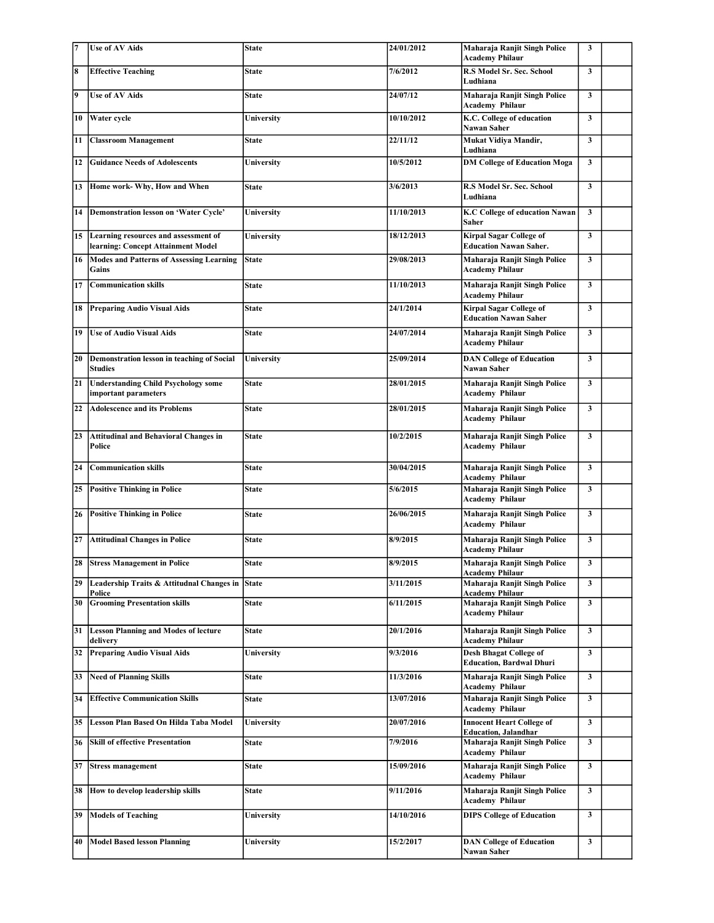| 17 | <b>Use of AV Aids</b>                                                         | <b>State</b>      | 24/01/2012 | Maharaja Ranjit Singh Police<br><b>Academy Philaur</b>           | 3            |  |
|----|-------------------------------------------------------------------------------|-------------------|------------|------------------------------------------------------------------|--------------|--|
| 8  | <b>Effective Teaching</b>                                                     | State             | 7/6/2012   | <b>R.S Model Sr. Sec. School</b><br>Ludhiana                     | $\mathbf{3}$ |  |
| 9  | <b>Use of AV Aids</b>                                                         | <b>State</b>      | 24/07/12   | Maharaja Ranjit Singh Police<br><b>Academy Philaur</b>           | $\mathbf{3}$ |  |
| 10 | <b>Water</b> cycle                                                            | University        | 10/10/2012 | K.C. College of education<br>Nawan Saher                         | $\mathbf{3}$ |  |
| 11 | <b>Classroom Management</b>                                                   | State             | 22/11/12   | Mukat Vidiya Mandir,<br>Ludhiana                                 | $\mathbf{3}$ |  |
| 12 | <b>Guidance Needs of Adolescents</b>                                          | University        | 10/5/2012  | <b>DM College of Education Moga</b>                              | $\mathbf{3}$ |  |
|    | 13 Home work- Why, How and When                                               | <b>State</b>      | 3/6/2013   | <b>R.S Model Sr. Sec. School</b><br>Ludhiana                     | $\mathbf{3}$ |  |
| 14 | Demonstration lesson on 'Water Cycle'                                         | University        | 11/10/2013 | <b>K.C College of education Nawan</b><br><b>Saher</b>            | $\mathbf{3}$ |  |
|    | 15 Learning resources and assessment of<br>learning: Concept Attainment Model | <b>University</b> | 18/12/2013 | <b>Kirpal Sagar College of</b><br><b>Education Nawan Saher.</b>  | $\mathbf{3}$ |  |
| 16 | Modes and Patterns of Assessing Learning<br>Gains                             | <b>State</b>      | 29/08/2013 | Maharaja Ranjit Singh Police<br><b>Academy Philaur</b>           | $\mathbf{3}$ |  |
| 17 | Communication skills                                                          | <b>State</b>      | 11/10/2013 | Maharaja Ranjit Singh Police<br><b>Academy Philaur</b>           | $\mathbf{3}$ |  |
| 18 | <b>Preparing Audio Visual Aids</b>                                            | State             | 24/1/2014  | <b>Kirpal Sagar College of</b><br><b>Education Nawan Saher</b>   | $\mathbf{3}$ |  |
| 19 | <b>Use of Audio Visual Aids</b>                                               | <b>State</b>      | 24/07/2014 | Maharaja Ranjit Singh Police<br><b>Academy Philaur</b>           | $\mathbf{3}$ |  |
| 20 | Demonstration lesson in teaching of Social<br><b>Studies</b>                  | <b>University</b> | 25/09/2014 | <b>DAN College of Education</b><br><b>Nawan Saher</b>            | $\mathbf{3}$ |  |
| 21 | <b>Understanding Child Psychology some</b><br>important parameters            | <b>State</b>      | 28/01/2015 | Maharaja Ranjit Singh Police<br><b>Academy Philaur</b>           | $\mathbf{3}$ |  |
| 22 | <b>Adolescence and its Problems</b>                                           | State             | 28/01/2015 | Maharaja Ranjit Singh Police<br><b>Academy Philaur</b>           | $\mathbf{3}$ |  |
| 23 | <b>Attitudinal and Behavioral Changes in</b><br>Police                        | <b>State</b>      | 10/2/2015  | Maharaja Ranjit Singh Police<br><b>Academy Philaur</b>           | $\mathbf{3}$ |  |
| 24 | <b>Communication skills</b>                                                   | <b>State</b>      | 30/04/2015 | Maharaja Ranjit Singh Police<br><b>Academy Philaur</b>           | $\mathbf{3}$ |  |
| 25 | <b>Positive Thinking in Police</b>                                            | <b>State</b>      | 5/6/2015   | Maharaja Ranjit Singh Police<br><b>Academy Philaur</b>           | $\mathbf{3}$ |  |
| 26 | <b>Positive Thinking in Police</b>                                            | <b>State</b>      | 26/06/2015 | Maharaja Ranjit Singh Police<br><b>Academy Philaur</b>           | $\mathbf{3}$ |  |
| 27 | <b>Attitudinal Changes in Police</b>                                          | State             | 8/9/2015   | Maharaja Ranjit Singh Police<br><b>Academy Philaur</b>           | $\mathbf{3}$ |  |
|    | 28 Stress Management in Police                                                | State             | 8/9/2015   | Maharaja Ranjit Singh Police<br><b>Academy Philaur</b>           | $\mathbf{3}$ |  |
| 29 | Leadership Traits & Attitudnal Changes in<br>Police                           | <b>State</b>      | 3/11/2015  | Maharaja Ranjit Singh Police<br><b>Academy Philaur</b>           | 3            |  |
| 30 | <b>Grooming Presentation skills</b>                                           | <b>State</b>      | 6/11/2015  | Maharaja Ranjit Singh Police<br><b>Academy Philaur</b>           | $\mathbf{3}$ |  |
|    | 31  Lesson Planning and Modes of lecture<br>delivery                          | <b>State</b>      | 20/1/2016  | Maharaja Ranjit Singh Police<br><b>Academy Philaur</b>           | $\mathbf{3}$ |  |
| 32 | <b>Preparing Audio Visual Aids</b>                                            | University        | 9/3/2016   | <b>Desh Bhagat College of</b><br><b>Education, Bardwal Dhuri</b> | 3            |  |
| 33 | <b>Need of Planning Skills</b>                                                | State             | 11/3/2016  | Maharaja Ranjit Singh Police<br><b>Academy Philaur</b>           | 3            |  |
| 34 | <b>Effective Communication Skills</b>                                         | State             | 13/07/2016 | Maharaja Ranjit Singh Police<br><b>Academy Philaur</b>           | 3            |  |
| 35 | Lesson Plan Based On Hilda Taba Model                                         | University        | 20/07/2016 | <b>Innocent Heart College of</b><br><b>Education</b> , Jalandhar | 3            |  |
| 36 | <b>Skill of effective Presentation</b>                                        | <b>State</b>      | 7/9/2016   | Maharaja Ranjit Singh Police<br><b>Academy Philaur</b>           | 3            |  |
| 37 | <b>Stress management</b>                                                      | State             | 15/09/2016 | Maharaja Ranjit Singh Police<br><b>Academy Philaur</b>           | $\mathbf{3}$ |  |
| 38 | How to develop leadership skills                                              | State             | 9/11/2016  | Maharaja Ranjit Singh Police<br><b>Academy Philaur</b>           | $\mathbf{3}$ |  |
| 39 | <b>Models of Teaching</b>                                                     | University        | 14/10/2016 | <b>DIPS College of Education</b>                                 | $\mathbf{3}$ |  |
| 40 | <b>Model Based lesson Planning</b>                                            | University        | 15/2/2017  | <b>DAN College of Education</b><br>Nawan Saher                   | 3            |  |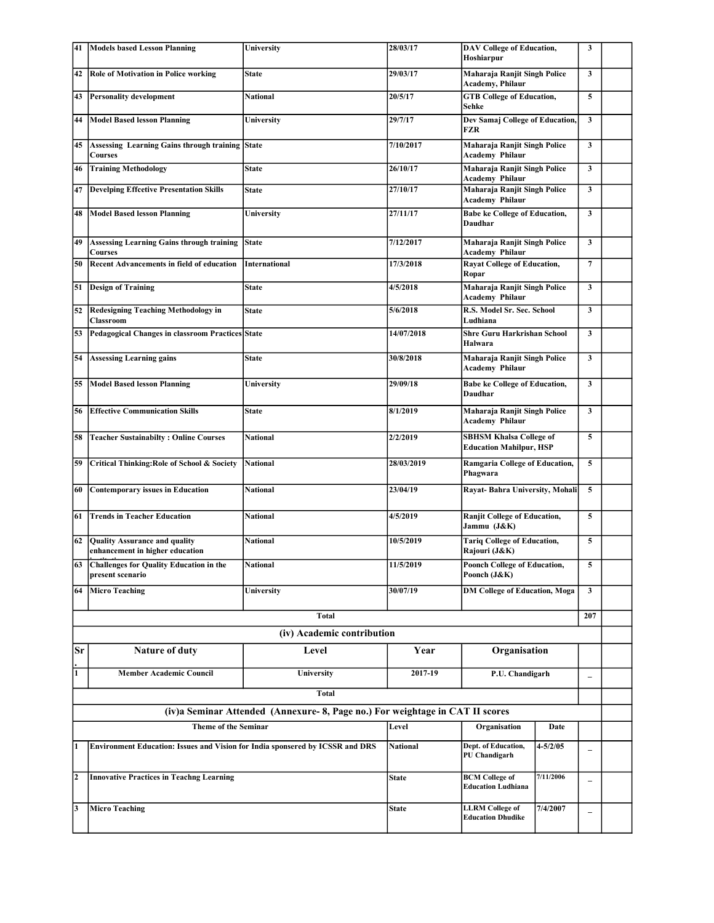| 41 | Models based Lesson Planning                                                         | University                                                                   | 28/03/17        | <b>DAV College of Education,</b><br>Hoshiarpur                   |                                    | 3            |  |
|----|--------------------------------------------------------------------------------------|------------------------------------------------------------------------------|-----------------|------------------------------------------------------------------|------------------------------------|--------------|--|
| 42 | <b>Role of Motivation in Police working</b>                                          | <b>State</b>                                                                 | 29/03/17        | Maharaja Ranjit Singh Police<br>Academy, Philaur                 |                                    | $\mathbf{3}$ |  |
| 43 | <b>Personality development</b>                                                       | <b>National</b>                                                              | 20/5/17         | <b>GTB</b> College of Education,<br>Sehke                        |                                    | 5            |  |
| 44 | <b>Model Based lesson Planning</b>                                                   | University                                                                   | 29/7/17         | Dev Samaj College of Education,<br>FZR                           |                                    | 3            |  |
| 45 | <b>Assessing Learning Gains through training State</b><br><b>Courses</b>             |                                                                              | 7/10/2017       | Maharaja Ranjit Singh Police<br><b>Academy Philaur</b>           |                                    | 3            |  |
| 46 | <b>Training Methodology</b>                                                          | <b>State</b>                                                                 | 26/10/17        | Maharaja Ranjit Singh Police<br><b>Academy Philaur</b>           |                                    | $\mathbf{3}$ |  |
| 47 | <b>Develping Effcetive Presentation Skills</b>                                       | <b>State</b>                                                                 | 27/10/17        | Maharaja Ranjit Singh Police<br><b>Academy Philaur</b>           |                                    | $\mathbf{3}$ |  |
| 48 | <b>Model Based lesson Planning</b>                                                   | University                                                                   | 27/11/17        | <b>Babe ke College of Education,</b><br>Daudhar                  | $\mathbf{3}$                       |              |  |
| 49 | <b>Assessing Learning Gains through training</b><br><b>Courses</b>                   | <b>State</b>                                                                 | 7/12/2017       | <b>Academy Philaur</b>                                           | Maharaja Ranjit Singh Police       |              |  |
| 50 | <b>Recent Advancements in field of education</b>                                     | <b>International</b>                                                         | 17/3/2018       | Ropar                                                            | <b>Rayat College of Education,</b> |              |  |
| 51 | <b>Design of Training</b>                                                            | <b>State</b>                                                                 | 4/5/2018        | Maharaja Ranjit Singh Police<br><b>Academy Philaur</b>           | $\mathbf{3}$                       |              |  |
| 52 | <b>Redesigning Teaching Methodology in</b><br>Classroom                              | <b>State</b>                                                                 | 5/6/2018        | R.S. Model Sr. Sec. School<br>Ludhiana                           | $\mathbf{3}$                       |              |  |
| 53 | Pedagogical Changes in classroom Practices State                                     |                                                                              | 14/07/2018      | <b>Shre Guru Harkrishan School</b><br>Halwara                    | 3                                  |              |  |
| 54 | <b>Assessing Learning gains</b>                                                      | <b>State</b>                                                                 | 30/8/2018       | Maharaja Ranjit Singh Police<br><b>Academy Philaur</b>           | 3                                  |              |  |
| 55 | <b>Model Based lesson Planning</b>                                                   | <b>University</b>                                                            | 29/09/18        | <b>Babe ke College of Education,</b><br>Daudhar                  | $\mathbf{3}$                       |              |  |
| 56 | <b>Effective Communication Skills</b>                                                | <b>State</b>                                                                 | 8/1/2019        | Maharaja Ranjit Singh Police<br><b>Academy Philaur</b>           |                                    | 3            |  |
| 58 | <b>Teacher Sustainabilty: Online Courses</b>                                         | <b>National</b>                                                              | 2/2/2019        | <b>SBHSM Khalsa College of</b><br><b>Education Mahilpur, HSP</b> |                                    | 5            |  |
| 59 | Critical Thinking: Role of School & Society                                          | <b>National</b>                                                              | 28/03/2019      | Ramgaria College of Education,<br>Phagwara                       |                                    | 5            |  |
| 60 | <b>Contemporary issues in Education</b>                                              | National                                                                     | 23/04/19        | Rayat-Bahra University, Mohali                                   |                                    | 5            |  |
| 61 | <b>Trends in Teacher Education</b>                                                   | National                                                                     | 4/5/2019        | <b>Ranjit College of Education,</b><br>Jammu (J&K)               |                                    | 5            |  |
| 62 | Quality Assurance and quality<br>enhancement in higher education                     | <b>National</b>                                                              | 10/5/2019       | <b>Tariq College of Education,</b><br>Rajouri (J&K)              |                                    | 5            |  |
| 63 | <b>Challenges for Quality Education in the</b><br>present scenario                   | <b>National</b>                                                              | 11/5/2019       | Poonch College of Education,<br>Poonch (J&K)                     |                                    | $\sqrt{5}$   |  |
| 64 | <b>Micro Teaching</b>                                                                | University                                                                   | 30/07/19        | <b>DM College of Education, Moga</b>                             |                                    | 3            |  |
|    |                                                                                      | <b>Total</b>                                                                 |                 |                                                                  |                                    | 207          |  |
|    |                                                                                      | (iv) Academic contribution                                                   |                 |                                                                  |                                    |              |  |
| Sr | Nature of duty                                                                       | Level                                                                        | Year            | Organisation                                                     |                                    |              |  |
| 1  | <b>Member Academic Council</b>                                                       | University                                                                   | 2017-19         | P.U. Chandigarh                                                  |                                    | $\equiv$     |  |
|    |                                                                                      | <b>Total</b>                                                                 |                 |                                                                  |                                    |              |  |
|    |                                                                                      | (iv)a Seminar Attended (Annexure-8, Page no.) For weightage in CAT II scores |                 |                                                                  |                                    |              |  |
|    | <b>Theme of the Seminar</b>                                                          |                                                                              | Level           | Organisation                                                     | Date                               |              |  |
| 1  | <b>Environment Education: Issues and Vision for India sponsered by ICSSR and DRS</b> |                                                                              | <b>National</b> | Dept. of Education,<br>PU Chandigarh                             | $4 - 5/2/05$                       | $\equiv$     |  |
| l2 | <b>Innovative Practices in Teachng Learning</b>                                      |                                                                              | <b>State</b>    | <b>BCM College of</b><br><b>Education Ludhiana</b>               | 7/11/2006                          |              |  |
| 3  | <b>Micro Teaching</b>                                                                |                                                                              | <b>State</b>    | <b>LLRM</b> College of<br><b>Education Dhudike</b>               | 7/4/2007                           |              |  |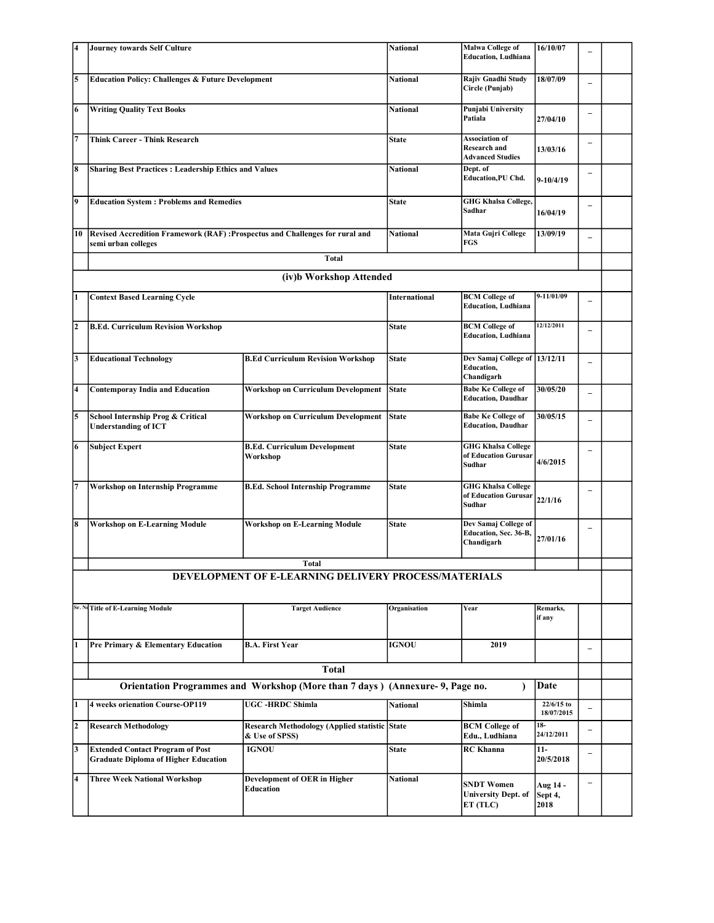| 4                       | <b>Journey towards Self Culture</b>                                                                  |                                                                              | National                             | <b>Malwa College of</b><br><b>Education, Ludhiana</b>                   | 16/10/07                    |                          |  |
|-------------------------|------------------------------------------------------------------------------------------------------|------------------------------------------------------------------------------|--------------------------------------|-------------------------------------------------------------------------|-----------------------------|--------------------------|--|
|                         |                                                                                                      |                                                                              |                                      |                                                                         |                             |                          |  |
| 5                       | <b>Education Policy: Challenges &amp; Future Development</b>                                         |                                                                              | <b>National</b>                      | Rajiv Gnadhi Study<br>Circle (Punjab)                                   | 18/07/09                    |                          |  |
| 6                       | <b>Writing Quality Text Books</b>                                                                    |                                                                              | National                             | <b>Punjabi University</b><br>Patiala                                    | 27/04/10                    |                          |  |
| 7                       | <b>Think Career - Think Research</b>                                                                 |                                                                              | <b>State</b>                         | <b>Association of</b><br><b>Research and</b><br><b>Advanced Studies</b> | 13/03/16                    |                          |  |
| 8                       | <b>Sharing Best Practices: Leadership Ethics and Values</b>                                          |                                                                              | National                             | Dept. of<br><b>Education, PU Chd.</b>                                   | $9-10/4/19$                 |                          |  |
| 9                       | <b>Education System : Problems and Remedies</b>                                                      | <b>State</b>                                                                 | <b>GHG Khalsa College,</b><br>Sadhar | 16/04/19                                                                |                             |                          |  |
| 10                      | Revised Accredition Framework (RAF) : Prospectus and Challenges for rural and<br>semi urban colleges | <b>National</b>                                                              | Mata Gujri College<br>FGS            | 13/09/19                                                                |                             |                          |  |
|                         |                                                                                                      |                                                                              |                                      |                                                                         |                             |                          |  |
|                         |                                                                                                      | (iv)b Workshop Attended                                                      |                                      |                                                                         |                             |                          |  |
| 1                       | <b>Context Based Learning Cycle</b>                                                                  |                                                                              | <b>International</b>                 | <b>BCM College of</b><br><b>Education</b> , Ludhiana                    | 9-11/01/09                  |                          |  |
| $\overline{\mathbf{2}}$ | <b>B.Ed. Curriculum Revision Workshop</b>                                                            |                                                                              | State                                | <b>BCM College of</b><br><b>Education</b> , Ludhiana                    | 12/12/2011                  |                          |  |
| 3                       | <b>Educational Technology</b>                                                                        | <b>B.Ed Curriculum Revision Workshop</b>                                     | <b>State</b>                         | Dev Samaj College of 13/12/11<br><b>Education,</b><br>Chandigarh        |                             | $\overline{\phantom{0}}$ |  |
| 4                       | <b>Contemporay India and Education</b>                                                               | <b>Workshop on Curriculum Development</b>                                    | <b>State</b>                         | <b>Babe Ke College of</b><br><b>Education, Daudhar</b>                  | 30/05/20                    | $\overline{\phantom{0}}$ |  |
| 5                       | School Internship Prog & Critical<br><b>Understanding of ICT</b>                                     | <b>Workshop on Curriculum Development</b>                                    | <b>State</b>                         | <b>Babe Ke College of</b><br><b>Education, Daudhar</b>                  | 30/05/15                    |                          |  |
| 6                       | <b>Subject Expert</b>                                                                                | <b>B.Ed. Curriculum Development</b><br>Workshop                              | <b>State</b>                         | <b>GHG Khalsa College</b><br>of Education Gurusar<br><b>Sudhar</b>      | 4/6/2015                    |                          |  |
| 7                       | <b>Workshop on Internship Programme</b>                                                              | <b>B.Ed. School Internship Programme</b>                                     | <b>State</b>                         | <b>GHG Khalsa College</b><br>of Education Gurusar<br>Sudhar             | 22/1/16                     |                          |  |
| 8                       | <b>Workshop on E-Learning Module</b>                                                                 | <b>Workshop on E-Learning Module</b>                                         | <b>State</b>                         | Dev Samaj College of<br>Education, Sec. 36-B,<br>Chandigarh             | 27/01/16                    | $\overline{\phantom{0}}$ |  |
|                         |                                                                                                      | <b>Total</b>                                                                 |                                      |                                                                         |                             |                          |  |
|                         |                                                                                                      | DEVELOPMENT OF E-LEARNING DELIVERY PROCESS/MATERIALS                         |                                      |                                                                         |                             |                          |  |
|                         | Sr. No Title of E-Learning Module                                                                    | <b>Target Audience</b>                                                       | Organisation                         | Year                                                                    | Remarks,<br>if any          |                          |  |
| 1                       | Pre Primary & Elementary Education                                                                   | <b>B.A. First Year</b>                                                       | <b>IGNOU</b>                         | 2019                                                                    |                             | $\overline{\phantom{0}}$ |  |
|                         |                                                                                                      | <b>Total</b>                                                                 |                                      |                                                                         |                             |                          |  |
|                         |                                                                                                      | Orientation Programmes and Workshop (More than 7 days) (Annexure-9, Page no. |                                      |                                                                         | Date                        |                          |  |
| 1                       | <b>4 weeks orienation Course-OP119</b>                                                               | <b>UGC-HRDC Shimla</b>                                                       | <b>National</b>                      | Shimla                                                                  | 22/6/15 to<br>18/07/2015    | $\overline{\phantom{0}}$ |  |
| $\overline{2}$          | <b>Research Methodology</b>                                                                          | <b>Research Methodology (Applied statistic State</b><br>& Use of SPSS)       |                                      | <b>BCM</b> College of<br>Edu., Ludhiana                                 | $18-$<br>24/12/2011         | $\overline{\phantom{0}}$ |  |
| 3                       | <b>Extended Contact Program of Post</b><br><b>Graduate Diploma of Higher Education</b>               | <b>IGNOU</b>                                                                 | <b>State</b>                         | <b>RC</b> Khanna                                                        | $11-$<br>20/5/2018          | $\overline{\phantom{0}}$ |  |
| 4                       | <b>Three Week National Workshop</b>                                                                  | <b>Development of OER in Higher</b><br><b>Education</b>                      | <b>National</b>                      | <b>SNDT Women</b><br><b>University Dept. of</b><br>ET (TLC)             | Aug 14 -<br>Sept 4,<br>2018 | $\overline{\phantom{0}}$ |  |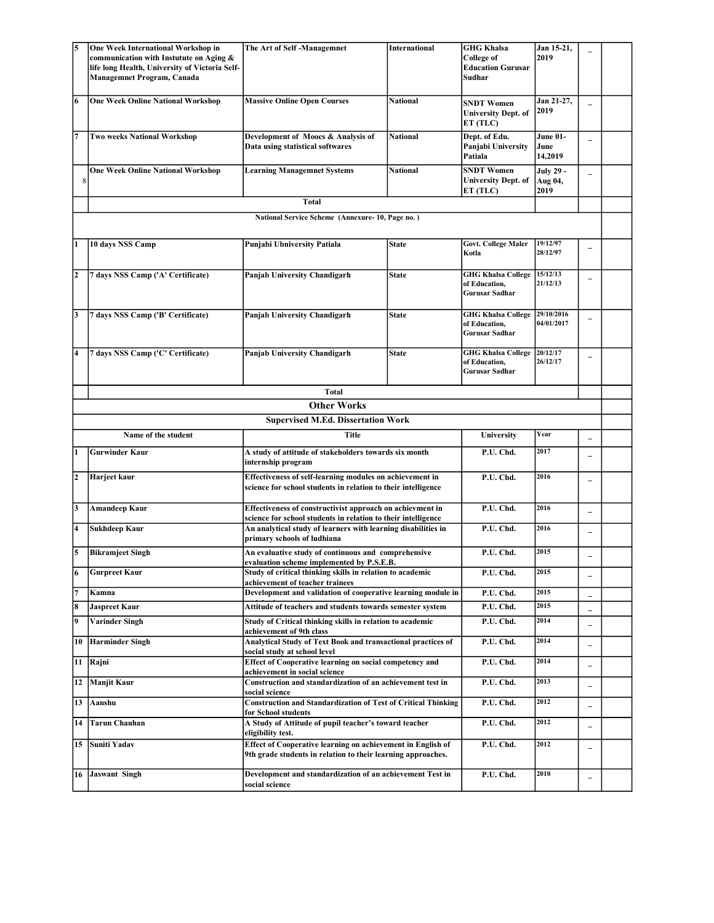|                                                 | One Week International Workshop in<br>communication with Instutute on Aging &<br>life long Health, University of Victoria Self-<br>Managemnet Program, Canada | The Art of Self-Managemnet                                                                                                  | International   | <b>GHG Khalsa</b><br>College of<br><b>Education Gurusar</b><br>Sudhar | Jan 15-21,<br>2019           |                          |  |  |
|-------------------------------------------------|---------------------------------------------------------------------------------------------------------------------------------------------------------------|-----------------------------------------------------------------------------------------------------------------------------|-----------------|-----------------------------------------------------------------------|------------------------------|--------------------------|--|--|
| 6                                               | <b>One Week Online National Workshop</b>                                                                                                                      | <b>Massive Online Open Courses</b>                                                                                          | <b>National</b> | <b>SNDT Women</b><br><b>University Dept. of</b><br>ET (TLC)           | Jan 21-27,<br>2019           |                          |  |  |
| 17                                              | <b>Two weeks National Workshop</b>                                                                                                                            | Development of Moocs & Analysis of<br>Data using statistical softwares                                                      | <b>National</b> | Dept. of Edu.<br>Panjabi University<br>Patiala                        | June 01-<br>June<br>14,2019  |                          |  |  |
| 8                                               | <b>One Week Online National Workshop</b>                                                                                                                      | <b>Learning Managemnet Systems</b>                                                                                          | <b>National</b> | <b>SNDT Women</b><br><b>University Dept. of</b><br>ET (TLC)           | July 29 -<br>Aug 04,<br>2019 |                          |  |  |
| Total                                           |                                                                                                                                                               |                                                                                                                             |                 |                                                                       |                              |                          |  |  |
| National Service Scheme (Annexure-10, Page no.) |                                                                                                                                                               |                                                                                                                             |                 |                                                                       |                              |                          |  |  |
|                                                 | 10 days NSS Camp                                                                                                                                              | Punjabi Ubniversity Patiala                                                                                                 | <b>State</b>    | <b>Govt. College Maler</b><br>Kotla                                   | 19/12/97<br>28/12/97         |                          |  |  |
| $\overline{2}$                                  | 7 days NSS Camp ('A' Certificate)                                                                                                                             | <b>Panjab University Chandigarh</b>                                                                                         | <b>State</b>    | <b>GHG Khalsa College</b><br>of Education,<br>Gurusar Sadhar          | 15/12/13<br>21/12/13         |                          |  |  |
| 3                                               | 7 days NSS Camp ('B' Certificate)                                                                                                                             | Panjab University Chandigarh                                                                                                | <b>State</b>    | <b>GHG Khalsa College</b><br>of Education,<br>Gurusar Sadhar          | 29/10/2016<br>04/01/2017     |                          |  |  |
| 4                                               | 7 days NSS Camp ('C' Certificate)                                                                                                                             | <b>Panjab University Chandigarh</b>                                                                                         | <b>State</b>    | <b>GHG Khalsa College</b><br>of Education,<br>Gurusar Sadhar          | 20/12/17<br>26/12/17         | $\overline{\phantom{0}}$ |  |  |
|                                                 |                                                                                                                                                               | <b>Total</b>                                                                                                                |                 |                                                                       |                              |                          |  |  |
|                                                 |                                                                                                                                                               | <b>Other Works</b>                                                                                                          |                 |                                                                       |                              |                          |  |  |
| <b>Supervised M.Ed. Dissertation Work</b>       |                                                                                                                                                               |                                                                                                                             |                 |                                                                       |                              |                          |  |  |
|                                                 | Name of the student<br><b>Title</b>                                                                                                                           |                                                                                                                             |                 | University                                                            | Year                         | $\overline{\phantom{0}}$ |  |  |
|                                                 | <b>Gurwinder Kaur</b>                                                                                                                                         | A study of attitude of stakeholders towards six month<br>internship program                                                 |                 | P.U. Chd.                                                             | 2017                         | $\overline{\phantom{0}}$ |  |  |
| 2                                               | Harjeet kaur                                                                                                                                                  | Effectiveness of self-learning modules on achievement in<br>science for school students in relation to their intelligence   |                 | P.U. Chd.                                                             | 2016                         | $\overline{\phantom{0}}$ |  |  |
| 3                                               | Amandeep Kaur                                                                                                                                                 | Effectiveness of constructivist approach on achievment in<br>science for school students in relation to their intelligence  |                 | P.U. Chd.                                                             | 2016                         | $\overline{\phantom{0}}$ |  |  |
| 4                                               | Sukhdeep Kaur                                                                                                                                                 | An analytical study of learners with learning disabilities in<br>primary schools of ludhiana                                |                 | P.U. Chd.                                                             | 2016                         | $\qquad \qquad -$        |  |  |
| 5                                               | <b>Bikramjeet Singh</b>                                                                                                                                       | An evaluative study of continuous and comprehensive<br>evaluation scheme implemented by P.S.E.B.                            |                 | P.U. Chd.                                                             | 2015                         |                          |  |  |
| 6                                               | <b>Gurpreet Kaur</b>                                                                                                                                          | Study of critical thinking skills in relation to academic<br>achievement of teacher trainees                                |                 | P.U. Chd.                                                             | 2015                         |                          |  |  |
| 7                                               | Kamna                                                                                                                                                         | Development and validation of cooperative learning module in                                                                |                 | P.U. Chd.                                                             | 2015                         | $\qquad \qquad -$        |  |  |
| 8                                               | <b>Jaspreet Kaur</b>                                                                                                                                          | Attitude of teachers and students towards semester system                                                                   |                 | P.U. Chd.                                                             | 2015                         | $\qquad \qquad -$        |  |  |
| 9                                               | Varinder Singh                                                                                                                                                | Study of Critical thinking skills in relation to academic<br>achievement of 9th class                                       |                 | P.U. Chd.                                                             | 2014                         | $\overline{\phantom{0}}$ |  |  |
| 10                                              | <b>Harminder Singh</b>                                                                                                                                        | <b>Analytical Study of Text Book and transactional practices of</b><br>social study at school level                         |                 | P.U. Chd.                                                             | 2014                         | $\overline{\phantom{0}}$ |  |  |
| 11                                              | Rajni                                                                                                                                                         | Effect of Cooperative learning on social competency and<br>achievement in social science                                    |                 | P.U. Chd.                                                             | 2014                         | $\overline{\phantom{m}}$ |  |  |
| 12                                              | Manjit Kaur                                                                                                                                                   | Construction and standardization of an achievement test in<br>social science                                                |                 | P.U. Chd.                                                             | 2013                         | $\qquad \qquad -$        |  |  |
| 13                                              | Aanshu                                                                                                                                                        | <b>Construction and Standardization of Test of Critical Thinking</b><br>for School students                                 |                 | P.U. Chd.                                                             | 2012                         | $\overline{\phantom{0}}$ |  |  |
| 14                                              | Tarun Chauhan                                                                                                                                                 | A Study of Attitude of pupil teacher's toward teacher<br>eligibility test.                                                  |                 | P.U. Chd.                                                             | 2012                         | $\qquad \qquad -$        |  |  |
| 15                                              | Suniti Yadav                                                                                                                                                  | Effect of Cooperative learning on achievement in English of<br>9th grade students in relation to their learning approaches. |                 | P.U. Chd.                                                             | 2012                         | $\overline{\phantom{0}}$ |  |  |
|                                                 | 16 Jaswant Singh                                                                                                                                              | Development and standardization of an achievement Test in<br>social science                                                 |                 | P.U. Chd.                                                             | 2010                         | $\qquad \qquad -$        |  |  |